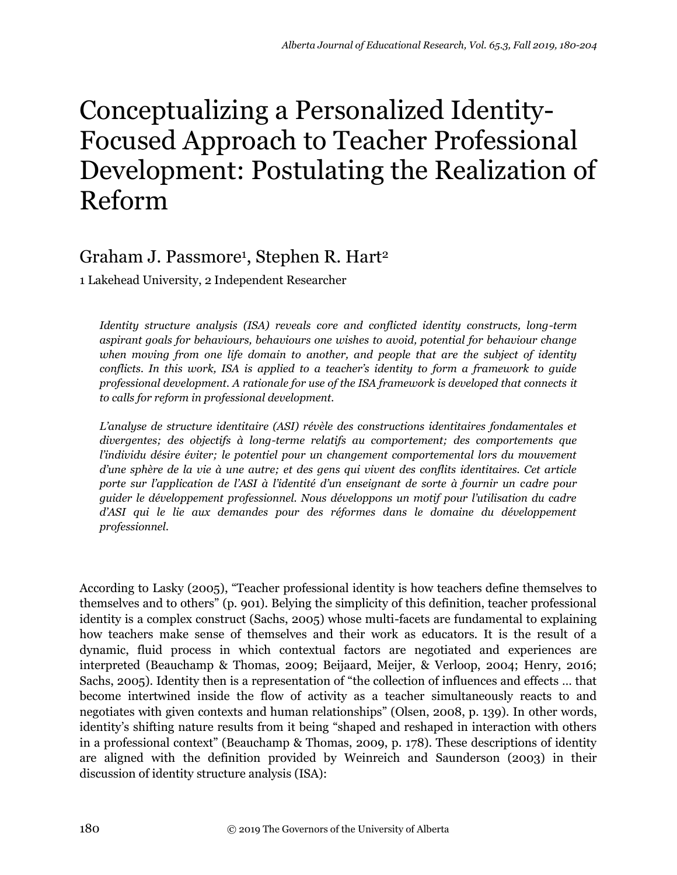# Conceptualizing a Personalized Identity-Focused Approach to Teacher Professional Development: Postulating the Realization of Reform

# Graham J. Passmore<sup>1</sup>, Stephen R. Hart<sup>2</sup>

1 Lakehead University, 2 Independent Researcher

*Identity structure analysis (ISA) reveals core and conflicted identity constructs, long-term aspirant goals for behaviours, behaviours one wishes to avoid, potential for behaviour change when moving from one life domain to another, and people that are the subject of identity conflicts. In this work, ISA is applied to a teacher's identity to form a framework to guide professional development. A rationale for use of the ISA framework is developed that connects it to calls for reform in professional development.*

*L'analyse de structure identitaire (ASI) révèle des constructions identitaires fondamentales et divergentes; des objectifs à long-terme relatifs au comportement; des comportements que l'individu désire éviter; le potentiel pour un changement comportemental lors du mouvement d'une sphère de la vie à une autre; et des gens qui vivent des conflits identitaires. Cet article porte sur l'application de l'ASI à l'identité d'un enseignant de sorte à fournir un cadre pour guider le développement professionnel. Nous développons un motif pour l'utilisation du cadre d'ASI qui le lie aux demandes pour des réformes dans le domaine du développement professionnel.*

According to Lasky (2005), "Teacher professional identity is how teachers define themselves to themselves and to others" (p. 901). Belying the simplicity of this definition, teacher professional identity is a complex construct (Sachs, 2005) whose multi-facets are fundamental to explaining how teachers make sense of themselves and their work as educators. It is the result of a dynamic, fluid process in which contextual factors are negotiated and experiences are interpreted (Beauchamp & Thomas, 2009; Beijaard, Meijer, & Verloop, 2004; Henry, 2016; Sachs, 2005). Identity then is a representation of "the collection of influences and effects … that become intertwined inside the flow of activity as a teacher simultaneously reacts to and negotiates with given contexts and human relationships" (Olsen, 2008, p. 139). In other words, identity's shifting nature results from it being "shaped and reshaped in interaction with others in a professional context" (Beauchamp & Thomas, 2009, p. 178). These descriptions of identity are aligned with the definition provided by Weinreich and Saunderson (2003) in their discussion of identity structure analysis (ISA):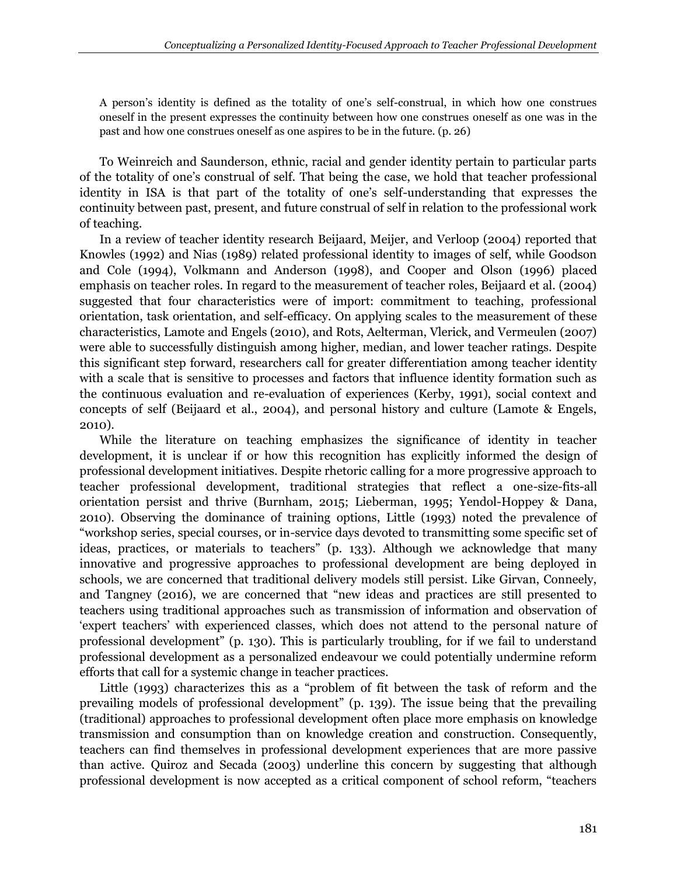A person's identity is defined as the totality of one's self-construal, in which how one construes oneself in the present expresses the continuity between how one construes oneself as one was in the past and how one construes oneself as one aspires to be in the future. (p. 26)

To Weinreich and Saunderson, ethnic, racial and gender identity pertain to particular parts of the totality of one's construal of self. That being the case, we hold that teacher professional identity in ISA is that part of the totality of one's self-understanding that expresses the continuity between past, present, and future construal of self in relation to the professional work of teaching.

In a review of teacher identity research Beijaard, Meijer, and Verloop (2004) reported that Knowles (1992) and Nias (1989) related professional identity to images of self, while Goodson and Cole (1994), Volkmann and Anderson (1998), and Cooper and Olson (1996) placed emphasis on teacher roles. In regard to the measurement of teacher roles, Beijaard et al. (2004) suggested that four characteristics were of import: commitment to teaching, professional orientation, task orientation, and self-efficacy. On applying scales to the measurement of these characteristics, Lamote and Engels (2010), and Rots, Aelterman, Vlerick, and Vermeulen (2007) were able to successfully distinguish among higher, median, and lower teacher ratings. Despite this significant step forward, researchers call for greater differentiation among teacher identity with a scale that is sensitive to processes and factors that influence identity formation such as the continuous evaluation and re-evaluation of experiences (Kerby, 1991), social context and concepts of self (Beijaard et al., 2004), and personal history and culture (Lamote & Engels, 2010).

While the literature on teaching emphasizes the significance of identity in teacher development, it is unclear if or how this recognition has explicitly informed the design of professional development initiatives. Despite rhetoric calling for a more progressive approach to teacher professional development, traditional strategies that reflect a one-size-fits-all orientation persist and thrive (Burnham, 2015; Lieberman, 1995; Yendol-Hoppey & Dana, 2010). Observing the dominance of training options, Little (1993) noted the prevalence of "workshop series, special courses, or in-service days devoted to transmitting some specific set of ideas, practices, or materials to teachers" (p. 133). Although we acknowledge that many innovative and progressive approaches to professional development are being deployed in schools, we are concerned that traditional delivery models still persist. Like Girvan, Conneely, and Tangney (2016), we are concerned that "new ideas and practices are still presented to teachers using traditional approaches such as transmission of information and observation of 'expert teachers' with experienced classes, which does not attend to the personal nature of professional development" (p. 130). This is particularly troubling, for if we fail to understand professional development as a personalized endeavour we could potentially undermine reform efforts that call for a systemic change in teacher practices.

Little (1993) characterizes this as a "problem of fit between the task of reform and the prevailing models of professional development" (p. 139). The issue being that the prevailing (traditional) approaches to professional development often place more emphasis on knowledge transmission and consumption than on knowledge creation and construction. Consequently, teachers can find themselves in professional development experiences that are more passive than active. Quiroz and Secada (2003) underline this concern by suggesting that although professional development is now accepted as a critical component of school reform, "teachers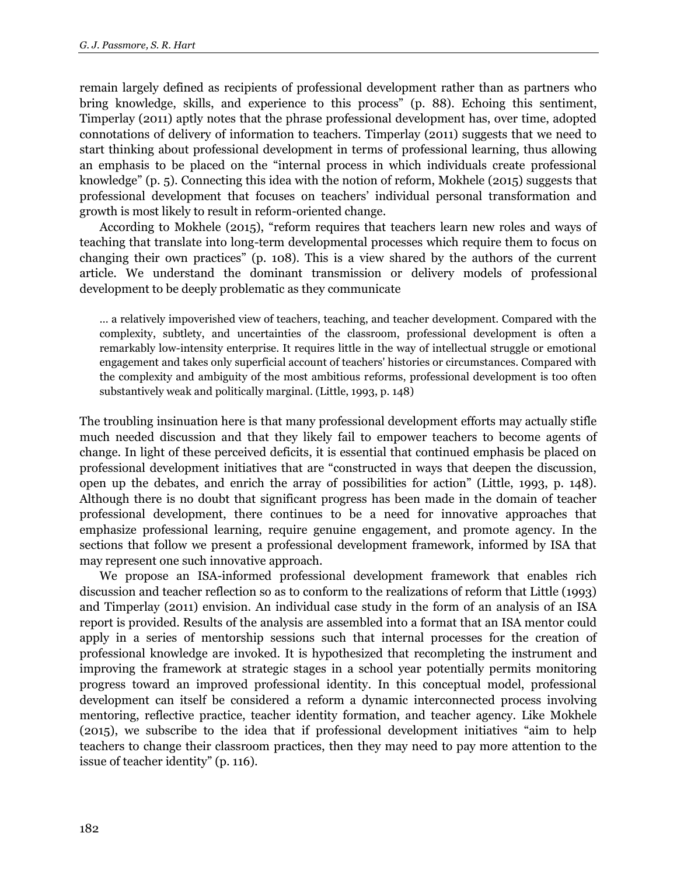remain largely defined as recipients of professional development rather than as partners who bring knowledge, skills, and experience to this process" (p. 88). Echoing this sentiment, Timperlay (2011) aptly notes that the phrase professional development has, over time, adopted connotations of delivery of information to teachers. Timperlay (2011) suggests that we need to start thinking about professional development in terms of professional learning, thus allowing an emphasis to be placed on the "internal process in which individuals create professional knowledge" (p. 5). Connecting this idea with the notion of reform, Mokhele (2015) suggests that professional development that focuses on teachers' individual personal transformation and growth is most likely to result in reform-oriented change.

According to Mokhele (2015), "reform requires that teachers learn new roles and ways of teaching that translate into long-term developmental processes which require them to focus on changing their own practices" (p. 108). This is a view shared by the authors of the current article. We understand the dominant transmission or delivery models of professional development to be deeply problematic as they communicate

… a relatively impoverished view of teachers, teaching, and teacher development. Compared with the complexity, subtlety, and uncertainties of the classroom, professional development is often a remarkably low-intensity enterprise. It requires little in the way of intellectual struggle or emotional engagement and takes only superficial account of teachers' histories or circumstances. Compared with the complexity and ambiguity of the most ambitious reforms, professional development is too often substantively weak and politically marginal. (Little, 1993, p. 148)

The troubling insinuation here is that many professional development efforts may actually stifle much needed discussion and that they likely fail to empower teachers to become agents of change. In light of these perceived deficits, it is essential that continued emphasis be placed on professional development initiatives that are "constructed in ways that deepen the discussion, open up the debates, and enrich the array of possibilities for action" (Little, 1993, p. 148). Although there is no doubt that significant progress has been made in the domain of teacher professional development, there continues to be a need for innovative approaches that emphasize professional learning, require genuine engagement, and promote agency. In the sections that follow we present a professional development framework, informed by ISA that may represent one such innovative approach.

We propose an ISA-informed professional development framework that enables rich discussion and teacher reflection so as to conform to the realizations of reform that Little (1993) and Timperlay (2011) envision. An individual case study in the form of an analysis of an ISA report is provided. Results of the analysis are assembled into a format that an ISA mentor could apply in a series of mentorship sessions such that internal processes for the creation of professional knowledge are invoked. It is hypothesized that recompleting the instrument and improving the framework at strategic stages in a school year potentially permits monitoring progress toward an improved professional identity. In this conceptual model, professional development can itself be considered a reform a dynamic interconnected process involving mentoring, reflective practice, teacher identity formation, and teacher agency. Like Mokhele (2015), we subscribe to the idea that if professional development initiatives "aim to help teachers to change their classroom practices, then they may need to pay more attention to the issue of teacher identity" (p. 116).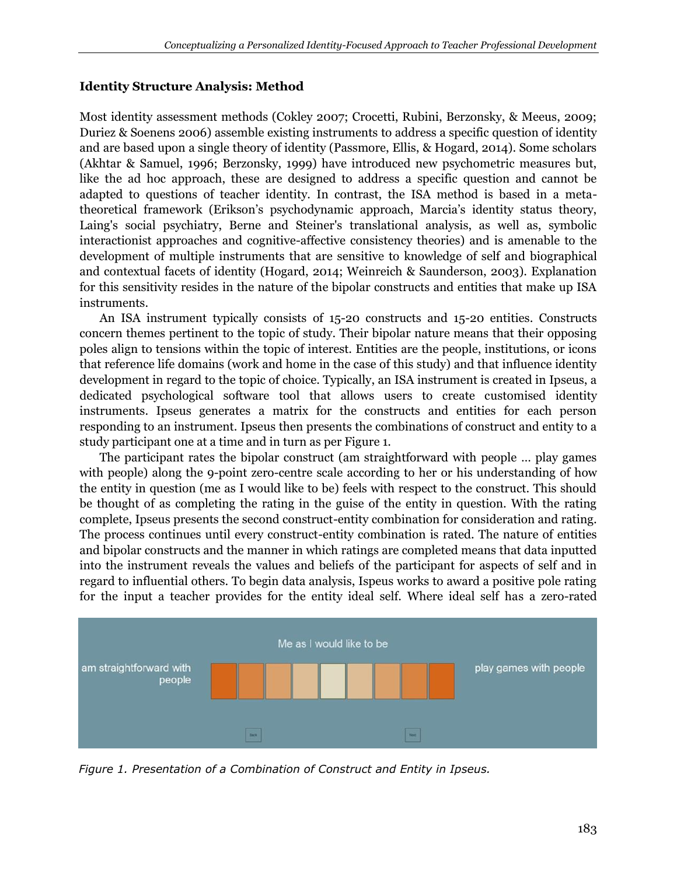# **Identity Structure Analysis: Method**

Most identity assessment methods (Cokley 2007; Crocetti, Rubini, Berzonsky, & Meeus, 2009; Duriez & Soenens 2006) assemble existing instruments to address a specific question of identity and are based upon a single theory of identity (Passmore, Ellis, & Hogard, 2014). Some scholars (Akhtar & Samuel, 1996; Berzonsky, 1999) have introduced new psychometric measures but, like the ad hoc approach, these are designed to address a specific question and cannot be adapted to questions of teacher identity. In contrast, the ISA method is based in a metatheoretical framework (Erikson's psychodynamic approach, Marcia's identity status theory, Laing's social psychiatry, Berne and Steiner's translational analysis, as well as, symbolic interactionist approaches and cognitive-affective consistency theories) and is amenable to the development of multiple instruments that are sensitive to knowledge of self and biographical and contextual facets of identity (Hogard, 2014; Weinreich & Saunderson, 2003). Explanation for this sensitivity resides in the nature of the bipolar constructs and entities that make up ISA instruments.

An ISA instrument typically consists of 15-20 constructs and 15-20 entities. Constructs concern themes pertinent to the topic of study. Their bipolar nature means that their opposing poles align to tensions within the topic of interest. Entities are the people, institutions, or icons that reference life domains (work and home in the case of this study) and that influence identity development in regard to the topic of choice. Typically, an ISA instrument is created in Ipseus, a dedicated psychological software tool that allows users to create customised identity instruments. Ipseus generates a matrix for the constructs and entities for each person responding to an instrument. Ipseus then presents the combinations of construct and entity to a study participant one at a time and in turn as per Figure 1.

The participant rates the bipolar construct (am straightforward with people … play games with people) along the 9-point zero-centre scale according to her or his understanding of how the entity in question (me as I would like to be) feels with respect to the construct. This should be thought of as completing the rating in the guise of the entity in question. With the rating complete, Ipseus presents the second construct-entity combination for consideration and rating. The process continues until every construct-entity combination is rated. The nature of entities and bipolar constructs and the manner in which ratings are completed means that data inputted into the instrument reveals the values and beliefs of the participant for aspects of self and in regard to influential others. To begin data analysis, Ispeus works to award a positive pole rating for the input a teacher provides for the entity ideal self. Where ideal self has a zero-rated



*Figure 1. Presentation of a Combination of Construct and Entity in Ipseus.*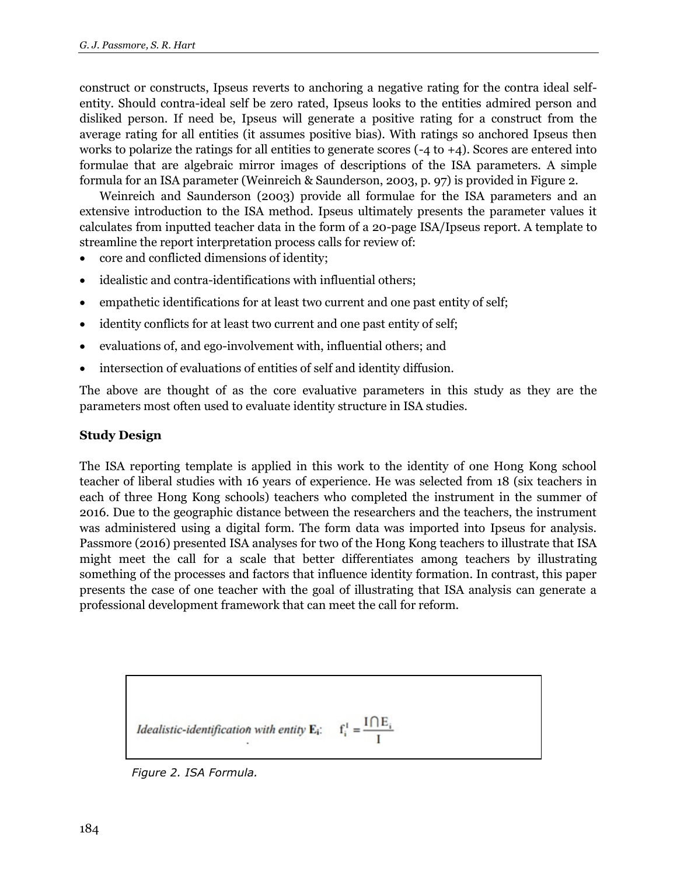construct or constructs, Ipseus reverts to anchoring a negative rating for the contra ideal selfentity. Should contra-ideal self be zero rated, Ipseus looks to the entities admired person and disliked person. If need be, Ipseus will generate a positive rating for a construct from the average rating for all entities (it assumes positive bias). With ratings so anchored Ipseus then works to polarize the ratings for all entities to generate scores  $(-4 \text{ to } +4)$ . Scores are entered into formulae that are algebraic mirror images of descriptions of the ISA parameters. A simple formula for an ISA parameter (Weinreich & Saunderson, 2003, p. 97) is provided in Figure 2.

Weinreich and Saunderson (2003) provide all formulae for the ISA parameters and an extensive introduction to the ISA method. Ipseus ultimately presents the parameter values it calculates from inputted teacher data in the form of a 20-page ISA/Ipseus report. A template to streamline the report interpretation process calls for review of:

- core and conflicted dimensions of identity;
- idealistic and contra-identifications with influential others;
- empathetic identifications for at least two current and one past entity of self;
- identity conflicts for at least two current and one past entity of self;
- evaluations of, and ego-involvement with, influential others; and
- intersection of evaluations of entities of self and identity diffusion.

The above are thought of as the core evaluative parameters in this study as they are the parameters most often used to evaluate identity structure in ISA studies.

#### **Study Design**

The ISA reporting template is applied in this work to the identity of one Hong Kong school teacher of liberal studies with 16 years of experience. He was selected from 18 (six teachers in each of three Hong Kong schools) teachers who completed the instrument in the summer of 2016. Due to the geographic distance between the researchers and the teachers, the instrument was administered using a digital form. The form data was imported into Ipseus for analysis. Passmore (2016) presented ISA analyses for two of the Hong Kong teachers to illustrate that ISA might meet the call for a scale that better differentiates among teachers by illustrating something of the processes and factors that influence identity formation. In contrast, this paper presents the case of one teacher with the goal of illustrating that ISA analysis can generate a professional development framework that can meet the call for reform.

> $f_i^I = \frac{I \bigcap E_i}{I}$ Idealistic-identification with entity  $\mathbf{E}_i$ :

*Figure 2. ISA Formula.*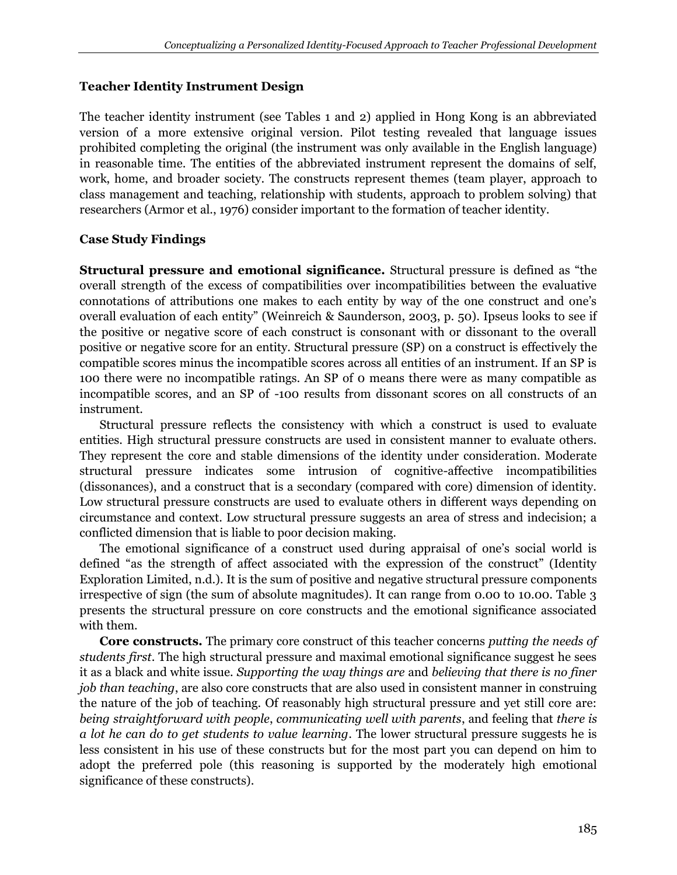## **Teacher Identity Instrument Design**

The teacher identity instrument (see Tables 1 and 2) applied in Hong Kong is an abbreviated version of a more extensive original version. Pilot testing revealed that language issues prohibited completing the original (the instrument was only available in the English language) in reasonable time. The entities of the abbreviated instrument represent the domains of self, work, home, and broader society. The constructs represent themes (team player, approach to class management and teaching, relationship with students, approach to problem solving) that researchers (Armor et al., 1976) consider important to the formation of teacher identity.

# **Case Study Findings**

**Structural pressure and emotional significance.** Structural pressure is defined as "the overall strength of the excess of compatibilities over incompatibilities between the evaluative connotations of attributions one makes to each entity by way of the one construct and one's overall evaluation of each entity" (Weinreich & Saunderson, 2003, p. 50). Ipseus looks to see if the positive or negative score of each construct is consonant with or dissonant to the overall positive or negative score for an entity. Structural pressure (SP) on a construct is effectively the compatible scores minus the incompatible scores across all entities of an instrument. If an SP is 100 there were no incompatible ratings. An SP of 0 means there were as many compatible as incompatible scores, and an SP of -100 results from dissonant scores on all constructs of an instrument.

Structural pressure reflects the consistency with which a construct is used to evaluate entities. High structural pressure constructs are used in consistent manner to evaluate others. They represent the core and stable dimensions of the identity under consideration. Moderate structural pressure indicates some intrusion of cognitive-affective incompatibilities (dissonances), and a construct that is a secondary (compared with core) dimension of identity. Low structural pressure constructs are used to evaluate others in different ways depending on circumstance and context. Low structural pressure suggests an area of stress and indecision; a conflicted dimension that is liable to poor decision making.

The emotional significance of a construct used during appraisal of one's social world is defined "as the strength of affect associated with the expression of the construct" (Identity Exploration Limited, n.d.). It is the sum of positive and negative structural pressure components irrespective of sign (the sum of absolute magnitudes). It can range from 0.00 to 10.00. Table 3 presents the structural pressure on core constructs and the emotional significance associated with them.

**Core constructs.** The primary core construct of this teacher concerns *putting the needs of students first*. The high structural pressure and maximal emotional significance suggest he sees it as a black and white issue. *Supporting the way things are* and *believing that there is no finer job than teaching*, are also core constructs that are also used in consistent manner in construing the nature of the job of teaching. Of reasonably high structural pressure and yet still core are: *being straightforward with people*, *communicating well with parents*, and feeling that *there is a lot he can do to get students to value learning*. The lower structural pressure suggests he is less consistent in his use of these constructs but for the most part you can depend on him to adopt the preferred pole (this reasoning is supported by the moderately high emotional significance of these constructs).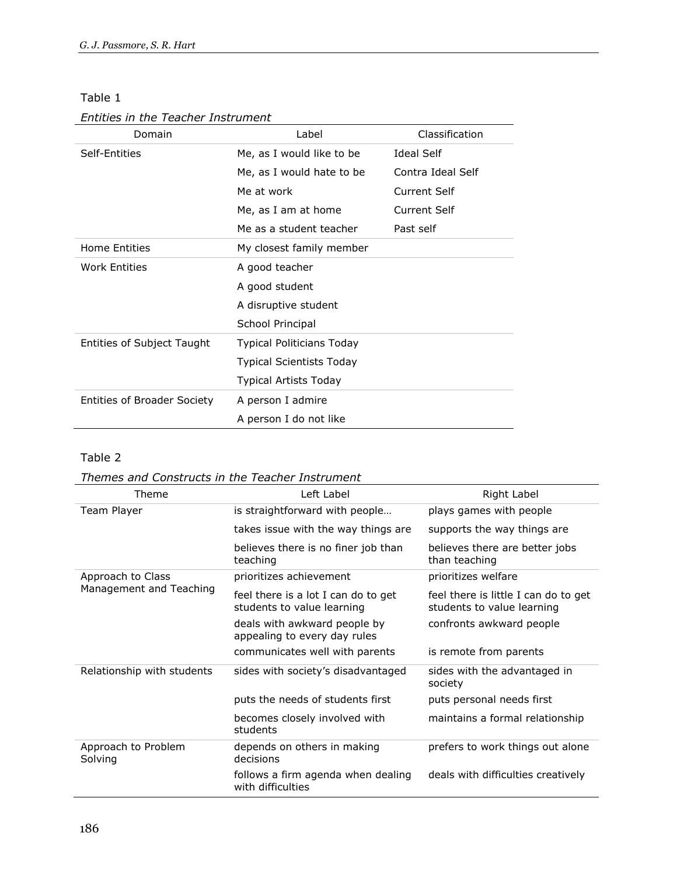#### Table 1

#### *Entities in the Teacher Instrument*

| Domain                             | Label                            | Classification      |
|------------------------------------|----------------------------------|---------------------|
| Self-Entities                      | Me, as I would like to be        | <b>Ideal Self</b>   |
|                                    | Me, as I would hate to be        | Contra Ideal Self   |
|                                    | Me at work                       | <b>Current Self</b> |
|                                    | Me, as I am at home              | Current Self        |
|                                    | Me as a student teacher          | Past self           |
| <b>Home Entities</b>               | My closest family member         |                     |
| <b>Work Entities</b>               | A good teacher                   |                     |
|                                    | A good student                   |                     |
|                                    | A disruptive student             |                     |
|                                    | School Principal                 |                     |
| Entities of Subject Taught         | <b>Typical Politicians Today</b> |                     |
|                                    | <b>Typical Scientists Today</b>  |                     |
|                                    | <b>Typical Artists Today</b>     |                     |
| <b>Entities of Broader Society</b> | A person I admire                |                     |
|                                    | A person I do not like           |                     |

# Table 2

#### *Themes and Constructs in the Teacher Instrument*

| Theme                          | Left Label                                                        | Right Label                                                        |
|--------------------------------|-------------------------------------------------------------------|--------------------------------------------------------------------|
| Team Player                    | is straightforward with people                                    | plays games with people                                            |
|                                | takes issue with the way things are                               | supports the way things are                                        |
|                                | believes there is no finer job than<br>teaching                   | believes there are better jobs<br>than teaching                    |
| Approach to Class              | prioritizes achievement                                           | prioritizes welfare                                                |
| Management and Teaching        | feel there is a lot I can do to get<br>students to value learning | feel there is little I can do to get<br>students to value learning |
|                                | deals with awkward people by<br>appealing to every day rules      | confronts awkward people                                           |
|                                | communicates well with parents                                    | is remote from parents                                             |
| Relationship with students     | sides with society's disadvantaged                                | sides with the advantaged in<br>society                            |
|                                | puts the needs of students first                                  | puts personal needs first                                          |
|                                | becomes closely involved with<br>students                         | maintains a formal relationship                                    |
| Approach to Problem<br>Solving | depends on others in making<br>decisions                          | prefers to work things out alone                                   |
|                                | follows a firm agenda when dealing<br>with difficulties           | deals with difficulties creatively                                 |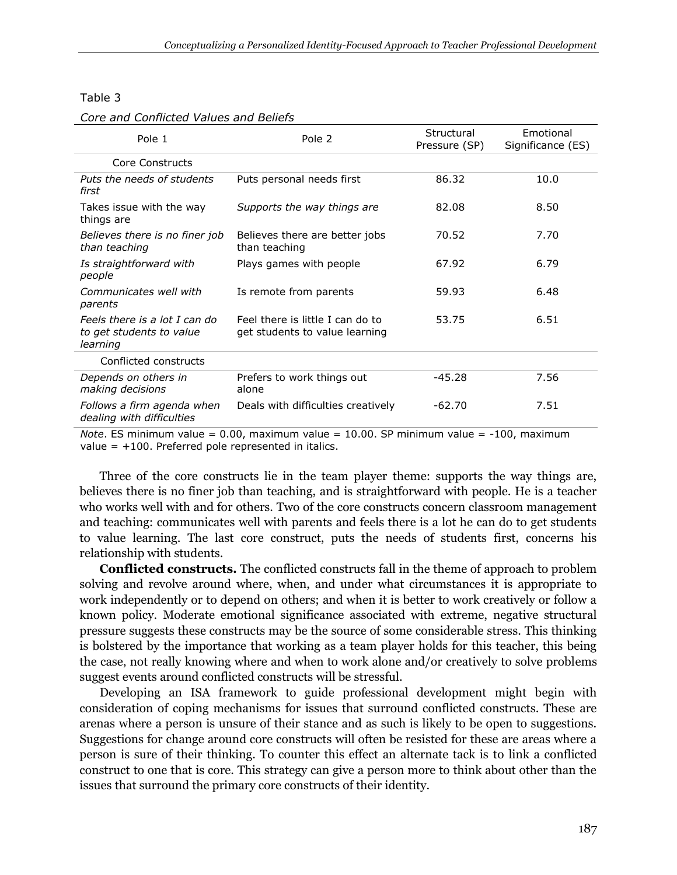#### Table 3

| Core and Conflicted Values and Beliefs |  |
|----------------------------------------|--|
|----------------------------------------|--|

| Pole 1                                                                | Pole 2                                                             | Structural<br>Pressure (SP) | Emotional<br>Significance (ES) |
|-----------------------------------------------------------------------|--------------------------------------------------------------------|-----------------------------|--------------------------------|
| Core Constructs                                                       |                                                                    |                             |                                |
| Puts the needs of students<br>first                                   | Puts personal needs first                                          | 86.32                       | 10.0                           |
| Takes issue with the way<br>things are                                | Supports the way things are                                        | 82.08                       | 8.50                           |
| Believes there is no finer job<br>than teaching                       | Believes there are better jobs<br>than teaching                    | 70.52                       | 7.70                           |
| Is straightforward with<br>people                                     | Plays games with people                                            | 67.92                       | 6.79                           |
| Communicates well with<br>parents                                     | Is remote from parents                                             | 59.93                       | 6.48                           |
| Feels there is a lot I can do<br>to get students to value<br>learning | Feel there is little I can do to<br>get students to value learning | 53.75                       | 6.51                           |
| Conflicted constructs                                                 |                                                                    |                             |                                |
| Depends on others in<br>making decisions                              | Prefers to work things out<br>alone                                | -45.28                      | 7.56                           |
| Follows a firm agenda when<br>dealing with difficulties               | Deals with difficulties creatively                                 | $-62.70$                    | 7.51                           |

*Note*. ES minimum value = 0.00, maximum value = 10.00. SP minimum value = -100, maximum value  $= +100$ . Preferred pole represented in italics.

Three of the core constructs lie in the team player theme: supports the way things are, believes there is no finer job than teaching, and is straightforward with people. He is a teacher who works well with and for others. Two of the core constructs concern classroom management and teaching: communicates well with parents and feels there is a lot he can do to get students to value learning. The last core construct, puts the needs of students first, concerns his relationship with students.

**Conflicted constructs.** The conflicted constructs fall in the theme of approach to problem solving and revolve around where, when, and under what circumstances it is appropriate to work independently or to depend on others; and when it is better to work creatively or follow a known policy. Moderate emotional significance associated with extreme, negative structural pressure suggests these constructs may be the source of some considerable stress. This thinking is bolstered by the importance that working as a team player holds for this teacher, this being the case, not really knowing where and when to work alone and/or creatively to solve problems suggest events around conflicted constructs will be stressful.

Developing an ISA framework to guide professional development might begin with consideration of coping mechanisms for issues that surround conflicted constructs. These are arenas where a person is unsure of their stance and as such is likely to be open to suggestions. Suggestions for change around core constructs will often be resisted for these are areas where a person is sure of their thinking. To counter this effect an alternate tack is to link a conflicted construct to one that is core. This strategy can give a person more to think about other than the issues that surround the primary core constructs of their identity.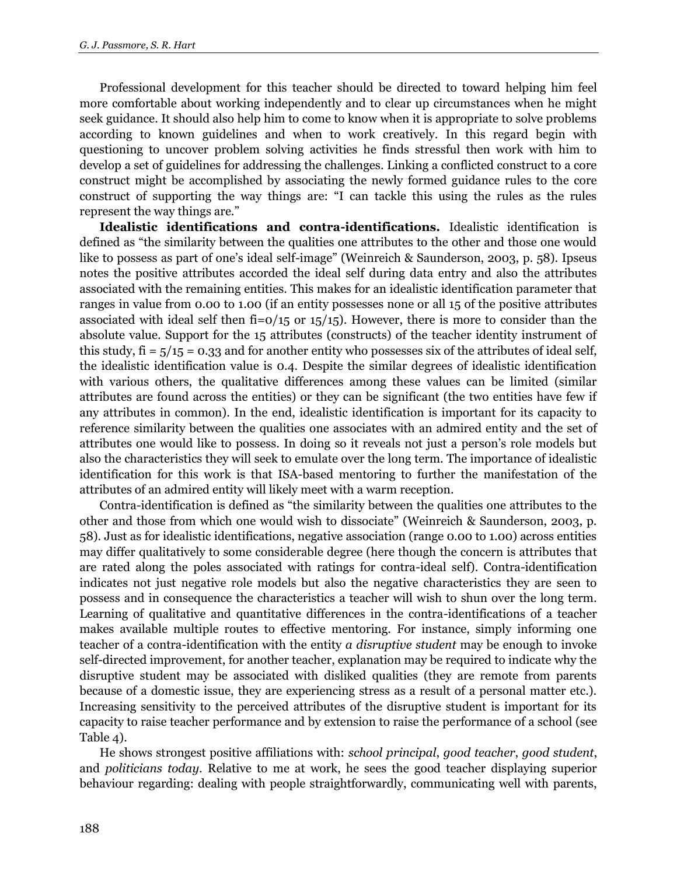Professional development for this teacher should be directed to toward helping him feel more comfortable about working independently and to clear up circumstances when he might seek guidance. It should also help him to come to know when it is appropriate to solve problems according to known guidelines and when to work creatively. In this regard begin with questioning to uncover problem solving activities he finds stressful then work with him to develop a set of guidelines for addressing the challenges. Linking a conflicted construct to a core construct might be accomplished by associating the newly formed guidance rules to the core construct of supporting the way things are: "I can tackle this using the rules as the rules represent the way things are."

**Idealistic identifications and contra-identifications.** Idealistic identification is defined as "the similarity between the qualities one attributes to the other and those one would like to possess as part of one's ideal self-image" (Weinreich & Saunderson, 2003, p. 58). Ipseus notes the positive attributes accorded the ideal self during data entry and also the attributes associated with the remaining entities. This makes for an idealistic identification parameter that ranges in value from 0.00 to 1.00 (if an entity possesses none or all 15 of the positive attributes associated with ideal self then  $fi=0/15$  or  $15/15$ ). However, there is more to consider than the absolute value. Support for the 15 attributes (constructs) of the teacher identity instrument of this study,  $fi = 5/15 = 0.33$  and for another entity who possesses six of the attributes of ideal self, the idealistic identification value is 0.4. Despite the similar degrees of idealistic identification with various others, the qualitative differences among these values can be limited (similar attributes are found across the entities) or they can be significant (the two entities have few if any attributes in common). In the end, idealistic identification is important for its capacity to reference similarity between the qualities one associates with an admired entity and the set of attributes one would like to possess. In doing so it reveals not just a person's role models but also the characteristics they will seek to emulate over the long term. The importance of idealistic identification for this work is that ISA-based mentoring to further the manifestation of the attributes of an admired entity will likely meet with a warm reception.

Contra-identification is defined as "the similarity between the qualities one attributes to the other and those from which one would wish to dissociate" (Weinreich & Saunderson, 2003, p. 58). Just as for idealistic identifications, negative association (range 0.00 to 1.00) across entities may differ qualitatively to some considerable degree (here though the concern is attributes that are rated along the poles associated with ratings for contra-ideal self). Contra-identification indicates not just negative role models but also the negative characteristics they are seen to possess and in consequence the characteristics a teacher will wish to shun over the long term. Learning of qualitative and quantitative differences in the contra-identifications of a teacher makes available multiple routes to effective mentoring. For instance, simply informing one teacher of a contra-identification with the entity *a disruptive student* may be enough to invoke self-directed improvement, for another teacher, explanation may be required to indicate why the disruptive student may be associated with disliked qualities (they are remote from parents because of a domestic issue, they are experiencing stress as a result of a personal matter etc.). Increasing sensitivity to the perceived attributes of the disruptive student is important for its capacity to raise teacher performance and by extension to raise the performance of a school (see Table 4).

He shows strongest positive affiliations with: *school principal*, *good teacher*, *good student*, and *politicians today*. Relative to me at work, he sees the good teacher displaying superior behaviour regarding: dealing with people straightforwardly, communicating well with parents,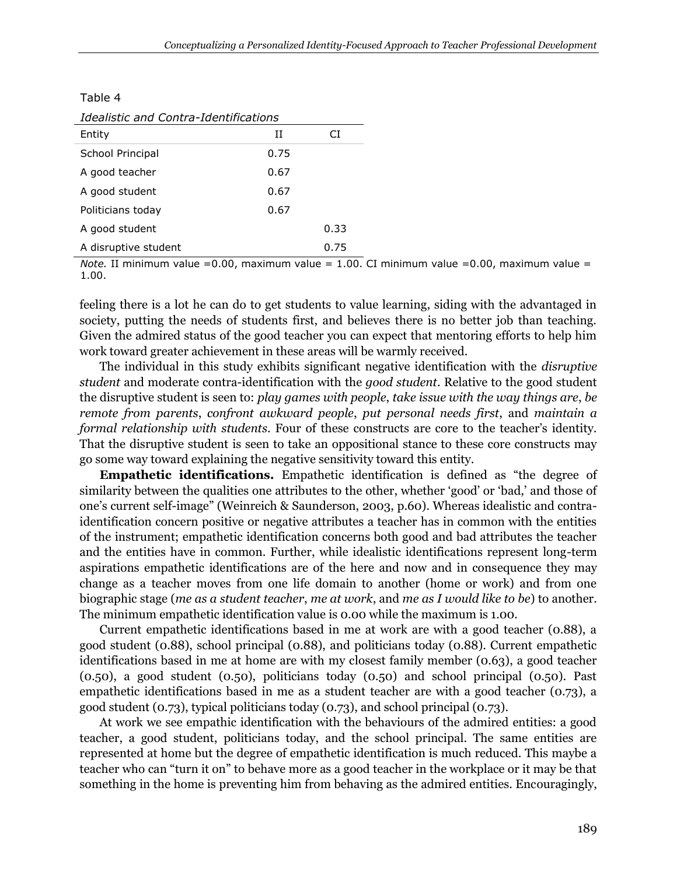Table 4

| Idealistic and Contra-Identifications |      |      |  |  |
|---------------------------------------|------|------|--|--|
| Entity                                | TΤ   | СĪ   |  |  |
| School Principal                      | 0.75 |      |  |  |
| A good teacher                        | 0.67 |      |  |  |
| A good student                        | 0.67 |      |  |  |
| Politicians today                     | 0.67 |      |  |  |
| A good student                        |      | 0.33 |  |  |
| A disruptive student                  |      | 0.75 |  |  |

*Note.* II minimum value =  $0.00$ , maximum value =  $1.00$ . CI minimum value =  $0.00$ , maximum value = 1.00.

feeling there is a lot he can do to get students to value learning, siding with the advantaged in society, putting the needs of students first, and believes there is no better job than teaching. Given the admired status of the good teacher you can expect that mentoring efforts to help him work toward greater achievement in these areas will be warmly received.

The individual in this study exhibits significant negative identification with the *disruptive student* and moderate contra-identification with the *good student*. Relative to the good student the disruptive student is seen to: *play games with people*, *take issue with the way things are*, *be remote from parents*, *confront awkward people*, *put personal needs first*, and *maintain a formal relationship with students*. Four of these constructs are core to the teacher's identity. That the disruptive student is seen to take an oppositional stance to these core constructs may go some way toward explaining the negative sensitivity toward this entity.

**Empathetic identifications.** Empathetic identification is defined as "the degree of similarity between the qualities one attributes to the other, whether 'good' or 'bad,' and those of one's current self-image" (Weinreich & Saunderson, 2003, p.60). Whereas idealistic and contraidentification concern positive or negative attributes a teacher has in common with the entities of the instrument; empathetic identification concerns both good and bad attributes the teacher and the entities have in common. Further, while idealistic identifications represent long-term aspirations empathetic identifications are of the here and now and in consequence they may change as a teacher moves from one life domain to another (home or work) and from one biographic stage (*me as a student teacher*, *me at work*, and *me as I would like to be*) to another. The minimum empathetic identification value is 0.00 while the maximum is 1.00.

Current empathetic identifications based in me at work are with a good teacher (0.88), a good student (0.88), school principal (0.88), and politicians today (0.88). Current empathetic identifications based in me at home are with my closest family member (0.63), a good teacher (0.50), a good student (0.50), politicians today (0.50) and school principal (0.50). Past empathetic identifications based in me as a student teacher are with a good teacher (0.73), a good student (0.73), typical politicians today (0.73), and school principal (0.73).

At work we see empathic identification with the behaviours of the admired entities: a good teacher, a good student, politicians today, and the school principal. The same entities are represented at home but the degree of empathetic identification is much reduced. This maybe a teacher who can "turn it on" to behave more as a good teacher in the workplace or it may be that something in the home is preventing him from behaving as the admired entities. Encouragingly,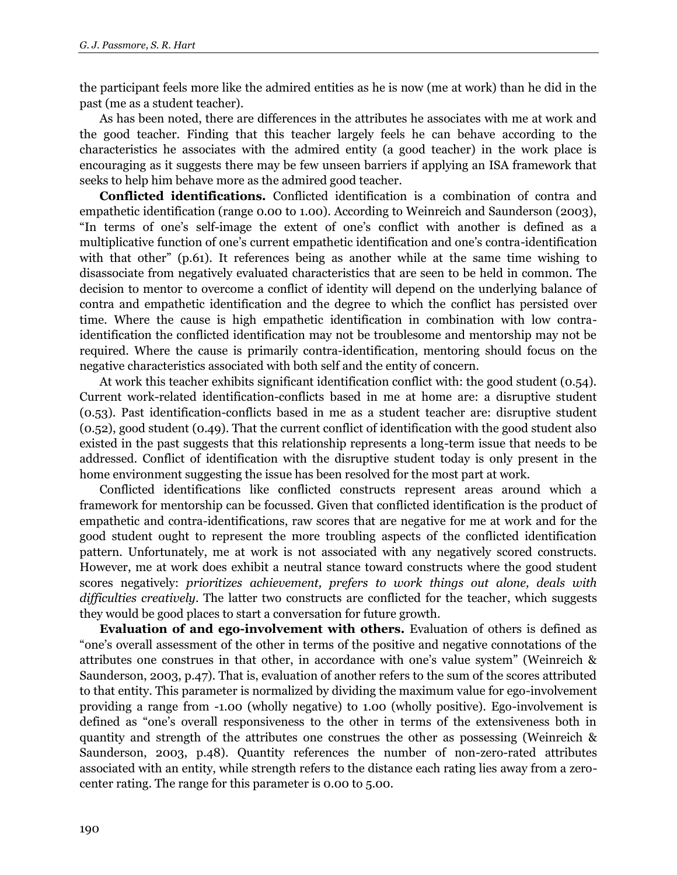the participant feels more like the admired entities as he is now (me at work) than he did in the past (me as a student teacher).

As has been noted, there are differences in the attributes he associates with me at work and the good teacher. Finding that this teacher largely feels he can behave according to the characteristics he associates with the admired entity (a good teacher) in the work place is encouraging as it suggests there may be few unseen barriers if applying an ISA framework that seeks to help him behave more as the admired good teacher.

**Conflicted identifications.** Conflicted identification is a combination of contra and empathetic identification (range 0.00 to 1.00). According to Weinreich and Saunderson (2003), "In terms of one's self-image the extent of one's conflict with another is defined as a multiplicative function of one's current empathetic identification and one's contra-identification with that other" (p.61). It references being as another while at the same time wishing to disassociate from negatively evaluated characteristics that are seen to be held in common. The decision to mentor to overcome a conflict of identity will depend on the underlying balance of contra and empathetic identification and the degree to which the conflict has persisted over time. Where the cause is high empathetic identification in combination with low contraidentification the conflicted identification may not be troublesome and mentorship may not be required. Where the cause is primarily contra-identification, mentoring should focus on the negative characteristics associated with both self and the entity of concern.

At work this teacher exhibits significant identification conflict with: the good student (0.54). Current work-related identification-conflicts based in me at home are: a disruptive student (0.53). Past identification-conflicts based in me as a student teacher are: disruptive student (0.52), good student (0.49). That the current conflict of identification with the good student also existed in the past suggests that this relationship represents a long-term issue that needs to be addressed. Conflict of identification with the disruptive student today is only present in the home environment suggesting the issue has been resolved for the most part at work.

Conflicted identifications like conflicted constructs represent areas around which a framework for mentorship can be focussed. Given that conflicted identification is the product of empathetic and contra-identifications, raw scores that are negative for me at work and for the good student ought to represent the more troubling aspects of the conflicted identification pattern. Unfortunately, me at work is not associated with any negatively scored constructs. However, me at work does exhibit a neutral stance toward constructs where the good student scores negatively: *prioritizes achievement, prefers to work things out alone, deals with difficulties creatively*. The latter two constructs are conflicted for the teacher, which suggests they would be good places to start a conversation for future growth.

**Evaluation of and ego-involvement with others.** Evaluation of others is defined as "one's overall assessment of the other in terms of the positive and negative connotations of the attributes one construes in that other, in accordance with one's value system" (Weinreich & Saunderson, 2003, p.47). That is, evaluation of another refers to the sum of the scores attributed to that entity. This parameter is normalized by dividing the maximum value for ego-involvement providing a range from -1.00 (wholly negative) to 1.00 (wholly positive). Ego-involvement is defined as "one's overall responsiveness to the other in terms of the extensiveness both in quantity and strength of the attributes one construes the other as possessing (Weinreich & Saunderson, 2003, p.48). Quantity references the number of non-zero-rated attributes associated with an entity, while strength refers to the distance each rating lies away from a zerocenter rating. The range for this parameter is 0.00 to 5.00.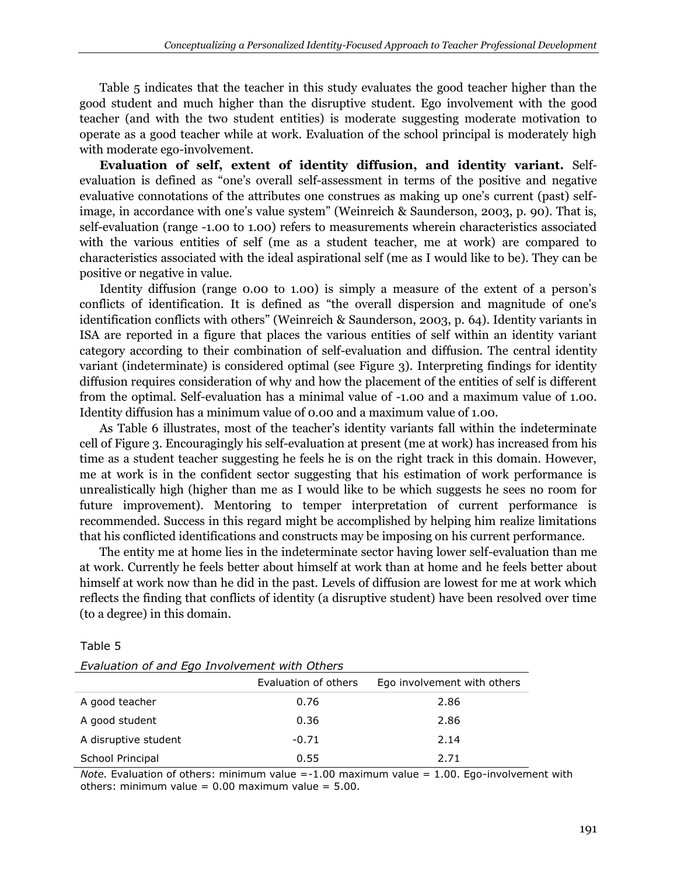Table 5 indicates that the teacher in this study evaluates the good teacher higher than the good student and much higher than the disruptive student. Ego involvement with the good teacher (and with the two student entities) is moderate suggesting moderate motivation to operate as a good teacher while at work. Evaluation of the school principal is moderately high with moderate ego-involvement.

**Evaluation of self, extent of identity diffusion, and identity variant.** Selfevaluation is defined as "one's overall self-assessment in terms of the positive and negative evaluative connotations of the attributes one construes as making up one's current (past) selfimage, in accordance with one's value system" (Weinreich & Saunderson, 2003, p. 90). That is, self-evaluation (range -1.00 to 1.00) refers to measurements wherein characteristics associated with the various entities of self (me as a student teacher, me at work) are compared to characteristics associated with the ideal aspirational self (me as I would like to be). They can be positive or negative in value.

Identity diffusion (range 0.00 to 1.00) is simply a measure of the extent of a person's conflicts of identification. It is defined as "the overall dispersion and magnitude of one's identification conflicts with others" (Weinreich & Saunderson, 2003, p. 64). Identity variants in ISA are reported in a figure that places the various entities of self within an identity variant category according to their combination of self-evaluation and diffusion. The central identity variant (indeterminate) is considered optimal (see Figure 3). Interpreting findings for identity diffusion requires consideration of why and how the placement of the entities of self is different from the optimal. Self-evaluation has a minimal value of -1.00 and a maximum value of 1.00. Identity diffusion has a minimum value of 0.00 and a maximum value of 1.00.

As Table 6 illustrates, most of the teacher's identity variants fall within the indeterminate cell of Figure 3. Encouragingly his self-evaluation at present (me at work) has increased from his time as a student teacher suggesting he feels he is on the right track in this domain. However, me at work is in the confident sector suggesting that his estimation of work performance is unrealistically high (higher than me as I would like to be which suggests he sees no room for future improvement). Mentoring to temper interpretation of current performance is recommended. Success in this regard might be accomplished by helping him realize limitations that his conflicted identifications and constructs may be imposing on his current performance.

The entity me at home lies in the indeterminate sector having lower self-evaluation than me at work. Currently he feels better about himself at work than at home and he feels better about himself at work now than he did in the past. Levels of diffusion are lowest for me at work which reflects the finding that conflicts of identity (a disruptive student) have been resolved over time (to a degree) in this domain.

Table 5

| Lediaduon of and Lgo Involvement with Others |                      |                             |  |  |
|----------------------------------------------|----------------------|-----------------------------|--|--|
|                                              | Evaluation of others | Ego involvement with others |  |  |
| A good teacher                               | 0.76                 | 2.86                        |  |  |
| A good student                               | 0.36                 | 2.86                        |  |  |
| A disruptive student                         | $-0.71$              | 2.14                        |  |  |
| School Principal                             | 0.55                 | 2.71                        |  |  |

*Note.* Evaluation of others: minimum value =-1.00 maximum value = 1.00. Ego-involvement with others: minimum value =  $0.00$  maximum value =  $5.00$ .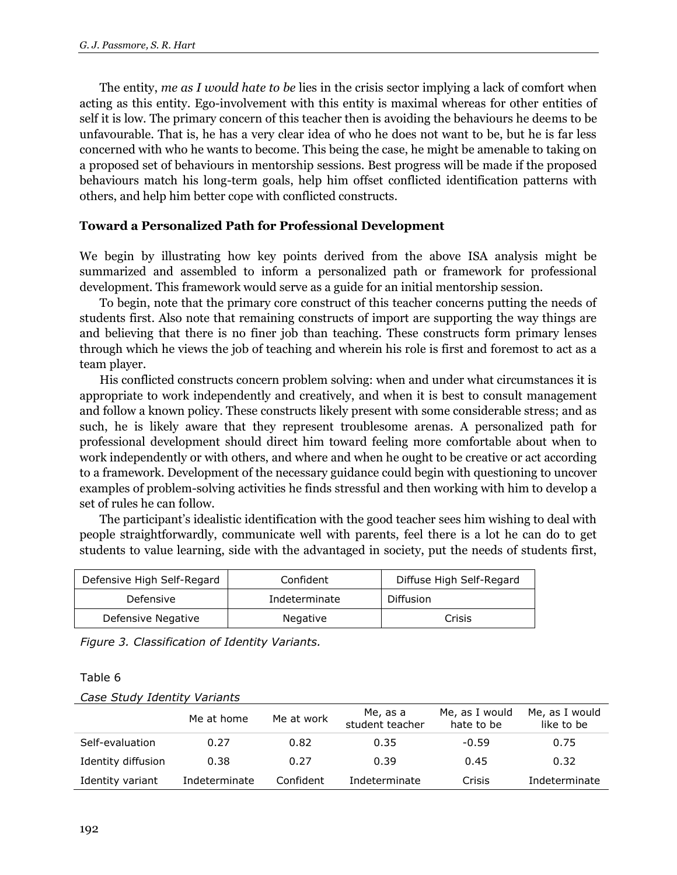The entity, *me as I would hate to be* lies in the crisis sector implying a lack of comfort when acting as this entity. Ego-involvement with this entity is maximal whereas for other entities of self it is low. The primary concern of this teacher then is avoiding the behaviours he deems to be unfavourable. That is, he has a very clear idea of who he does not want to be, but he is far less concerned with who he wants to become. This being the case, he might be amenable to taking on a proposed set of behaviours in mentorship sessions. Best progress will be made if the proposed behaviours match his long-term goals, help him offset conflicted identification patterns with others, and help him better cope with conflicted constructs.

#### **Toward a Personalized Path for Professional Development**

We begin by illustrating how key points derived from the above ISA analysis might be summarized and assembled to inform a personalized path or framework for professional development. This framework would serve as a guide for an initial mentorship session.

To begin, note that the primary core construct of this teacher concerns putting the needs of students first. Also note that remaining constructs of import are supporting the way things are and believing that there is no finer job than teaching. These constructs form primary lenses through which he views the job of teaching and wherein his role is first and foremost to act as a team player.

His conflicted constructs concern problem solving: when and under what circumstances it is appropriate to work independently and creatively, and when it is best to consult management and follow a known policy. These constructs likely present with some considerable stress; and as such, he is likely aware that they represent troublesome arenas. A personalized path for professional development should direct him toward feeling more comfortable about when to work independently or with others, and where and when he ought to be creative or act according to a framework. Development of the necessary guidance could begin with questioning to uncover examples of problem-solving activities he finds stressful and then working with him to develop a set of rules he can follow.

The participant's idealistic identification with the good teacher sees him wishing to deal with people straightforwardly, communicate well with parents, feel there is a lot he can do to get students to value learning, side with the advantaged in society, put the needs of students first,

| Defensive High Self-Regard | Confident       | Diffuse High Self-Regard |  |
|----------------------------|-----------------|--------------------------|--|
| Defensive                  | Indeterminate   | Diffusion                |  |
| Defensive Negative         | <b>Negative</b> | Crisis                   |  |

*Figure 3. Classification of Identity Variants.*

Table 6

| Case Study Identity Variants |
|------------------------------|
|------------------------------|

|                    | Me at home    | Me at work | Me, as a<br>student teacher | Me, as I would<br>hate to be | Me, as I would<br>like to be |
|--------------------|---------------|------------|-----------------------------|------------------------------|------------------------------|
| Self-evaluation    | 0.27          | 0.82       | 0.35                        | $-0.59$                      | 0.75                         |
| Identity diffusion | 0.38          | 0.27       | 0.39                        | 0.45                         | 0.32                         |
| Identity variant   | Indeterminate | Confident  | Indeterminate               | Crisis                       | Indeterminate                |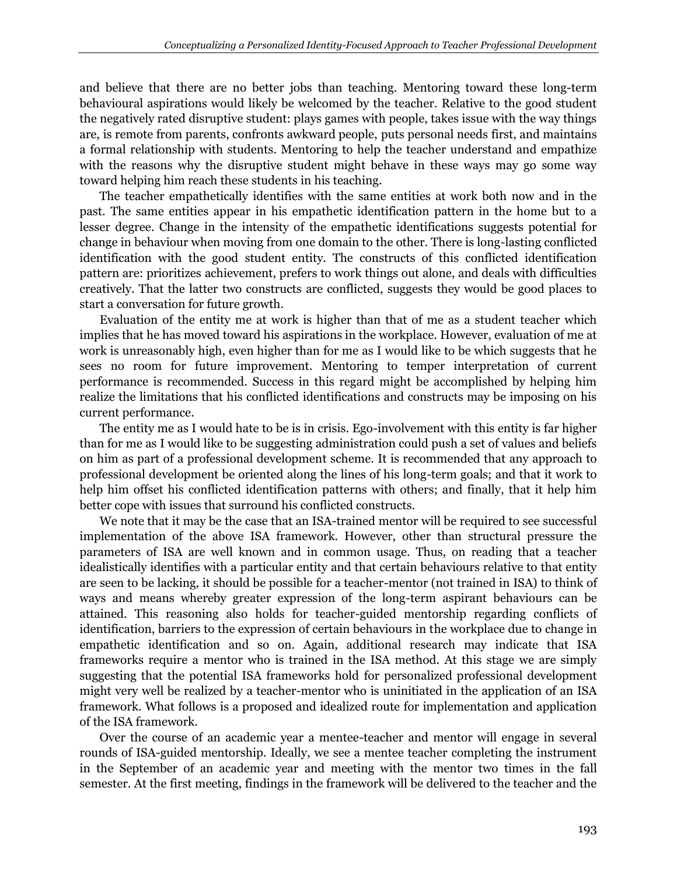and believe that there are no better jobs than teaching. Mentoring toward these long-term behavioural aspirations would likely be welcomed by the teacher. Relative to the good student the negatively rated disruptive student: plays games with people, takes issue with the way things are, is remote from parents, confronts awkward people, puts personal needs first, and maintains a formal relationship with students. Mentoring to help the teacher understand and empathize with the reasons why the disruptive student might behave in these ways may go some way toward helping him reach these students in his teaching.

The teacher empathetically identifies with the same entities at work both now and in the past. The same entities appear in his empathetic identification pattern in the home but to a lesser degree. Change in the intensity of the empathetic identifications suggests potential for change in behaviour when moving from one domain to the other. There is long-lasting conflicted identification with the good student entity. The constructs of this conflicted identification pattern are: prioritizes achievement, prefers to work things out alone, and deals with difficulties creatively. That the latter two constructs are conflicted, suggests they would be good places to start a conversation for future growth.

Evaluation of the entity me at work is higher than that of me as a student teacher which implies that he has moved toward his aspirations in the workplace. However, evaluation of me at work is unreasonably high, even higher than for me as I would like to be which suggests that he sees no room for future improvement. Mentoring to temper interpretation of current performance is recommended. Success in this regard might be accomplished by helping him realize the limitations that his conflicted identifications and constructs may be imposing on his current performance.

The entity me as I would hate to be is in crisis. Ego-involvement with this entity is far higher than for me as I would like to be suggesting administration could push a set of values and beliefs on him as part of a professional development scheme. It is recommended that any approach to professional development be oriented along the lines of his long-term goals; and that it work to help him offset his conflicted identification patterns with others; and finally, that it help him better cope with issues that surround his conflicted constructs.

We note that it may be the case that an ISA-trained mentor will be required to see successful implementation of the above ISA framework. However, other than structural pressure the parameters of ISA are well known and in common usage. Thus, on reading that a teacher idealistically identifies with a particular entity and that certain behaviours relative to that entity are seen to be lacking, it should be possible for a teacher-mentor (not trained in ISA) to think of ways and means whereby greater expression of the long-term aspirant behaviours can be attained. This reasoning also holds for teacher-guided mentorship regarding conflicts of identification, barriers to the expression of certain behaviours in the workplace due to change in empathetic identification and so on. Again, additional research may indicate that ISA frameworks require a mentor who is trained in the ISA method. At this stage we are simply suggesting that the potential ISA frameworks hold for personalized professional development might very well be realized by a teacher-mentor who is uninitiated in the application of an ISA framework. What follows is a proposed and idealized route for implementation and application of the ISA framework.

Over the course of an academic year a mentee-teacher and mentor will engage in several rounds of ISA-guided mentorship. Ideally, we see a mentee teacher completing the instrument in the September of an academic year and meeting with the mentor two times in the fall semester. At the first meeting, findings in the framework will be delivered to the teacher and the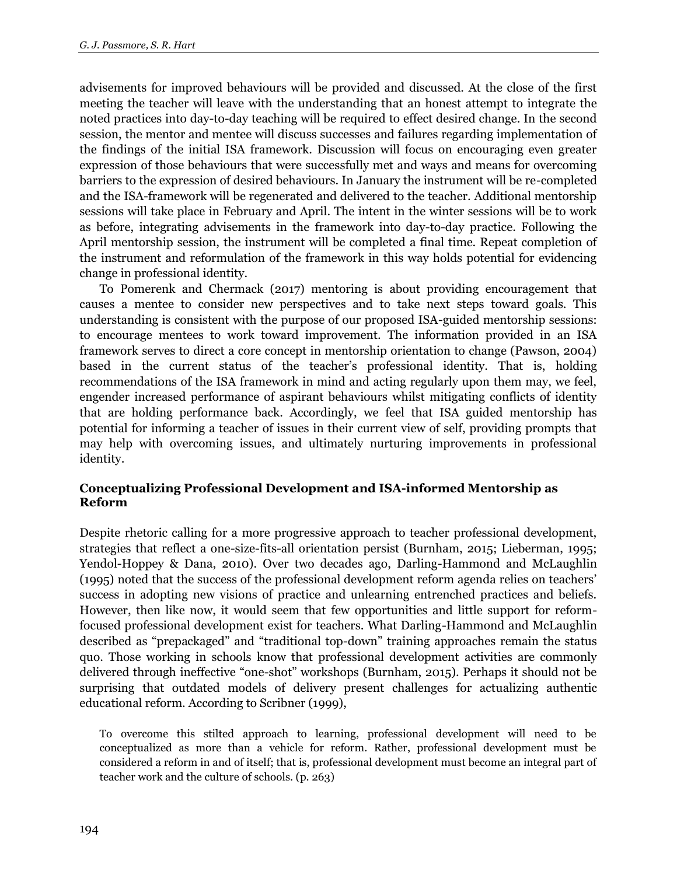advisements for improved behaviours will be provided and discussed. At the close of the first meeting the teacher will leave with the understanding that an honest attempt to integrate the noted practices into day-to-day teaching will be required to effect desired change. In the second session, the mentor and mentee will discuss successes and failures regarding implementation of the findings of the initial ISA framework. Discussion will focus on encouraging even greater expression of those behaviours that were successfully met and ways and means for overcoming barriers to the expression of desired behaviours. In January the instrument will be re-completed and the ISA-framework will be regenerated and delivered to the teacher. Additional mentorship sessions will take place in February and April. The intent in the winter sessions will be to work as before, integrating advisements in the framework into day-to-day practice. Following the April mentorship session, the instrument will be completed a final time. Repeat completion of the instrument and reformulation of the framework in this way holds potential for evidencing change in professional identity.

To Pomerenk and Chermack (2017) mentoring is about providing encouragement that causes a mentee to consider new perspectives and to take next steps toward goals. This understanding is consistent with the purpose of our proposed ISA-guided mentorship sessions: to encourage mentees to work toward improvement. The information provided in an ISA framework serves to direct a core concept in mentorship orientation to change (Pawson, 2004) based in the current status of the teacher's professional identity. That is, holding recommendations of the ISA framework in mind and acting regularly upon them may, we feel, engender increased performance of aspirant behaviours whilst mitigating conflicts of identity that are holding performance back. Accordingly, we feel that ISA guided mentorship has potential for informing a teacher of issues in their current view of self, providing prompts that may help with overcoming issues, and ultimately nurturing improvements in professional identity.

#### **Conceptualizing Professional Development and ISA-informed Mentorship as Reform**

Despite rhetoric calling for a more progressive approach to teacher professional development, strategies that reflect a one-size-fits-all orientation persist (Burnham, 2015; Lieberman, 1995; Yendol-Hoppey & Dana, 2010). Over two decades ago, Darling-Hammond and McLaughlin (1995) noted that the success of the professional development reform agenda relies on teachers' success in adopting new visions of practice and unlearning entrenched practices and beliefs. However, then like now, it would seem that few opportunities and little support for reformfocused professional development exist for teachers. What Darling-Hammond and McLaughlin described as "prepackaged" and "traditional top-down" training approaches remain the status quo. Those working in schools know that professional development activities are commonly delivered through ineffective "one-shot" workshops (Burnham, 2015). Perhaps it should not be surprising that outdated models of delivery present challenges for actualizing authentic educational reform. According to Scribner (1999),

To overcome this stilted approach to learning, professional development will need to be conceptualized as more than a vehicle for reform. Rather, professional development must be considered a reform in and of itself; that is, professional development must become an integral part of teacher work and the culture of schools. (p. 263)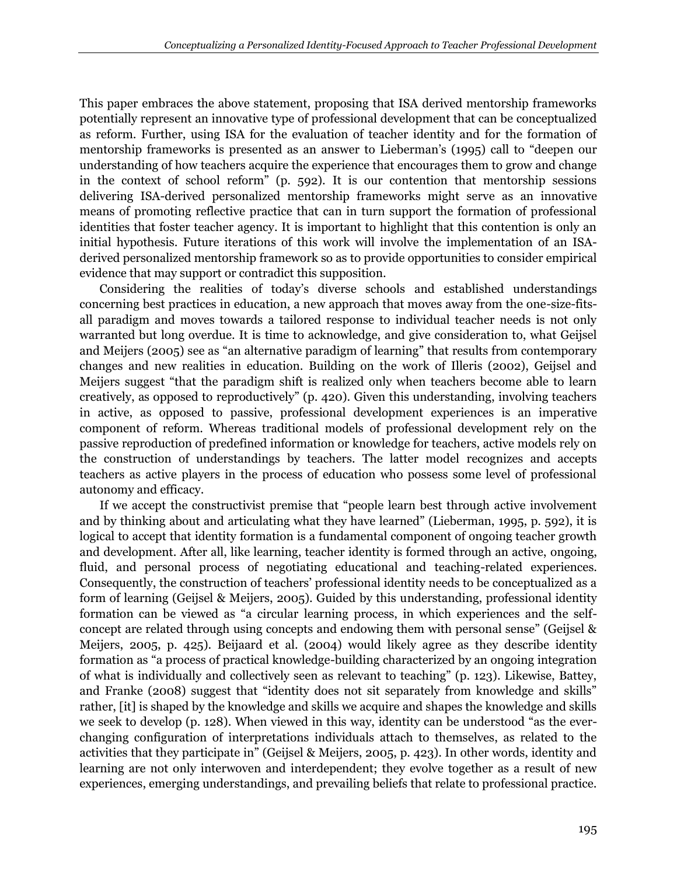This paper embraces the above statement, proposing that ISA derived mentorship frameworks potentially represent an innovative type of professional development that can be conceptualized as reform. Further, using ISA for the evaluation of teacher identity and for the formation of mentorship frameworks is presented as an answer to Lieberman's (1995) call to "deepen our understanding of how teachers acquire the experience that encourages them to grow and change in the context of school reform" (p. 592). It is our contention that mentorship sessions delivering ISA-derived personalized mentorship frameworks might serve as an innovative means of promoting reflective practice that can in turn support the formation of professional identities that foster teacher agency. It is important to highlight that this contention is only an initial hypothesis. Future iterations of this work will involve the implementation of an ISAderived personalized mentorship framework so as to provide opportunities to consider empirical evidence that may support or contradict this supposition.

Considering the realities of today's diverse schools and established understandings concerning best practices in education, a new approach that moves away from the one-size-fitsall paradigm and moves towards a tailored response to individual teacher needs is not only warranted but long overdue. It is time to acknowledge, and give consideration to, what Geijsel and Meijers (2005) see as "an alternative paradigm of learning" that results from contemporary changes and new realities in education. Building on the work of Illeris (2002), Geijsel and Meijers suggest "that the paradigm shift is realized only when teachers become able to learn creatively, as opposed to reproductively" (p. 420). Given this understanding, involving teachers in active, as opposed to passive, professional development experiences is an imperative component of reform. Whereas traditional models of professional development rely on the passive reproduction of predefined information or knowledge for teachers, active models rely on the construction of understandings by teachers. The latter model recognizes and accepts teachers as active players in the process of education who possess some level of professional autonomy and efficacy.

If we accept the constructivist premise that "people learn best through active involvement and by thinking about and articulating what they have learned" (Lieberman, 1995, p. 592), it is logical to accept that identity formation is a fundamental component of ongoing teacher growth and development. After all, like learning, teacher identity is formed through an active, ongoing, fluid, and personal process of negotiating educational and teaching-related experiences. Consequently, the construction of teachers' professional identity needs to be conceptualized as a form of learning (Geijsel & Meijers, 2005). Guided by this understanding, professional identity formation can be viewed as "a circular learning process, in which experiences and the selfconcept are related through using concepts and endowing them with personal sense" (Geijsel & Meijers, 2005, p. 425). Beijaard et al. (2004) would likely agree as they describe identity formation as "a process of practical knowledge-building characterized by an ongoing integration of what is individually and collectively seen as relevant to teaching" (p. 123). Likewise, Battey, and Franke (2008) suggest that "identity does not sit separately from knowledge and skills" rather, [it] is shaped by the knowledge and skills we acquire and shapes the knowledge and skills we seek to develop (p. 128). When viewed in this way, identity can be understood "as the everchanging configuration of interpretations individuals attach to themselves, as related to the activities that they participate in" (Geijsel & Meijers, 2005, p. 423). In other words, identity and learning are not only interwoven and interdependent; they evolve together as a result of new experiences, emerging understandings, and prevailing beliefs that relate to professional practice.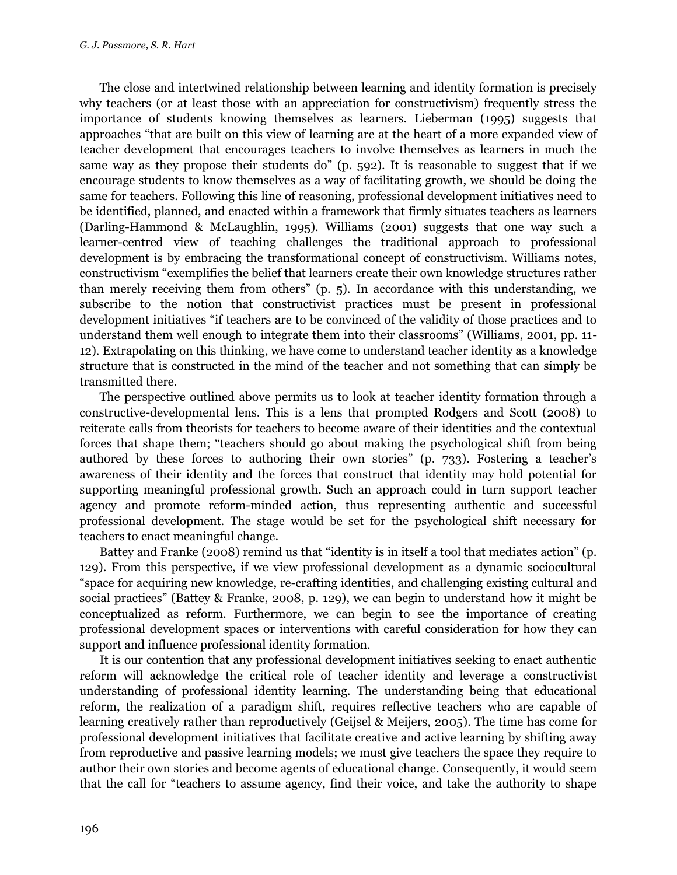The close and intertwined relationship between learning and identity formation is precisely why teachers (or at least those with an appreciation for constructivism) frequently stress the importance of students knowing themselves as learners. Lieberman (1995) suggests that approaches "that are built on this view of learning are at the heart of a more expanded view of teacher development that encourages teachers to involve themselves as learners in much the same way as they propose their students do" (p. 592). It is reasonable to suggest that if we encourage students to know themselves as a way of facilitating growth, we should be doing the same for teachers. Following this line of reasoning, professional development initiatives need to be identified, planned, and enacted within a framework that firmly situates teachers as learners (Darling-Hammond & McLaughlin, 1995). Williams (2001) suggests that one way such a learner-centred view of teaching challenges the traditional approach to professional development is by embracing the transformational concept of constructivism. Williams notes, constructivism "exemplifies the belief that learners create their own knowledge structures rather than merely receiving them from others" (p. 5). In accordance with this understanding, we subscribe to the notion that constructivist practices must be present in professional development initiatives "if teachers are to be convinced of the validity of those practices and to understand them well enough to integrate them into their classrooms" (Williams, 2001, pp. 11- 12). Extrapolating on this thinking, we have come to understand teacher identity as a knowledge structure that is constructed in the mind of the teacher and not something that can simply be transmitted there.

The perspective outlined above permits us to look at teacher identity formation through a constructive-developmental lens. This is a lens that prompted Rodgers and Scott (2008) to reiterate calls from theorists for teachers to become aware of their identities and the contextual forces that shape them; "teachers should go about making the psychological shift from being authored by these forces to authoring their own stories" (p. 733). Fostering a teacher's awareness of their identity and the forces that construct that identity may hold potential for supporting meaningful professional growth. Such an approach could in turn support teacher agency and promote reform-minded action, thus representing authentic and successful professional development. The stage would be set for the psychological shift necessary for teachers to enact meaningful change.

Battey and Franke (2008) remind us that "identity is in itself a tool that mediates action" (p. 129). From this perspective, if we view professional development as a dynamic sociocultural "space for acquiring new knowledge, re-crafting identities, and challenging existing cultural and social practices" (Battey & Franke, 2008, p. 129), we can begin to understand how it might be conceptualized as reform. Furthermore, we can begin to see the importance of creating professional development spaces or interventions with careful consideration for how they can support and influence professional identity formation.

It is our contention that any professional development initiatives seeking to enact authentic reform will acknowledge the critical role of teacher identity and leverage a constructivist understanding of professional identity learning. The understanding being that educational reform, the realization of a paradigm shift, requires reflective teachers who are capable of learning creatively rather than reproductively (Geijsel & Meijers, 2005). The time has come for professional development initiatives that facilitate creative and active learning by shifting away from reproductive and passive learning models; we must give teachers the space they require to author their own stories and become agents of educational change. Consequently, it would seem that the call for "teachers to assume agency, find their voice, and take the authority to shape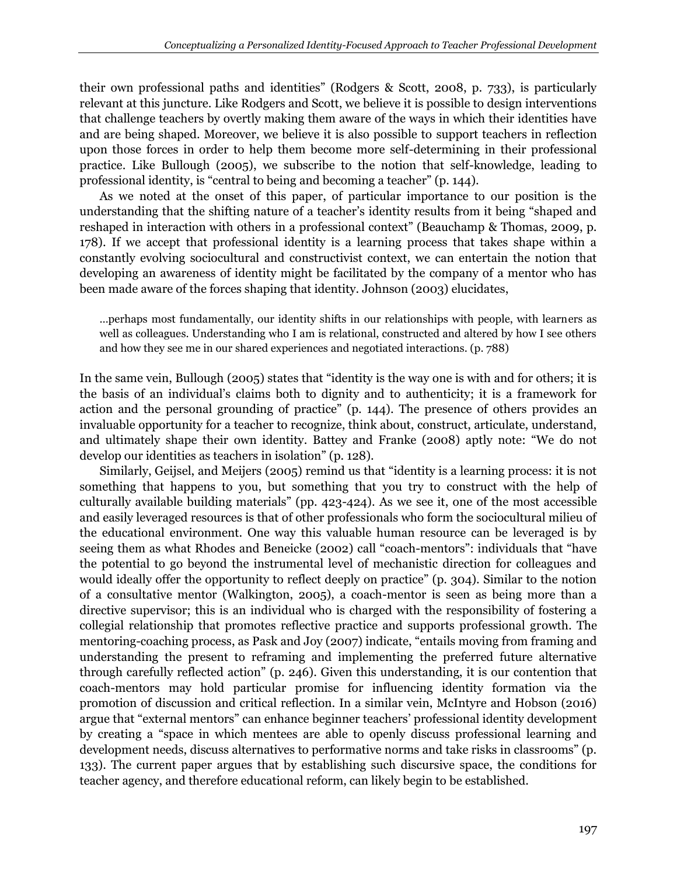their own professional paths and identities" (Rodgers & Scott, 2008, p. 733), is particularly relevant at this juncture. Like Rodgers and Scott, we believe it is possible to design interventions that challenge teachers by overtly making them aware of the ways in which their identities have and are being shaped. Moreover, we believe it is also possible to support teachers in reflection upon those forces in order to help them become more self-determining in their professional practice. Like Bullough (2005), we subscribe to the notion that self-knowledge, leading to professional identity, is "central to being and becoming a teacher" (p. 144).

As we noted at the onset of this paper, of particular importance to our position is the understanding that the shifting nature of a teacher's identity results from it being "shaped and reshaped in interaction with others in a professional context" (Beauchamp & Thomas, 2009, p. 178). If we accept that professional identity is a learning process that takes shape within a constantly evolving sociocultural and constructivist context, we can entertain the notion that developing an awareness of identity might be facilitated by the company of a mentor who has been made aware of the forces shaping that identity. Johnson (2003) elucidates,

…perhaps most fundamentally, our identity shifts in our relationships with people, with learners as well as colleagues. Understanding who I am is relational, constructed and altered by how I see others and how they see me in our shared experiences and negotiated interactions. (p. 788)

In the same vein, Bullough (2005) states that "identity is the way one is with and for others; it is the basis of an individual's claims both to dignity and to authenticity; it is a framework for action and the personal grounding of practice" (p. 144). The presence of others provides an invaluable opportunity for a teacher to recognize, think about, construct, articulate, understand, and ultimately shape their own identity. Battey and Franke (2008) aptly note: "We do not develop our identities as teachers in isolation" (p. 128).

Similarly, Geijsel, and Meijers (2005) remind us that "identity is a learning process: it is not something that happens to you, but something that you try to construct with the help of culturally available building materials" (pp. 423-424). As we see it, one of the most accessible and easily leveraged resources is that of other professionals who form the sociocultural milieu of the educational environment. One way this valuable human resource can be leveraged is by seeing them as what Rhodes and Beneicke (2002) call "coach-mentors": individuals that "have the potential to go beyond the instrumental level of mechanistic direction for colleagues and would ideally offer the opportunity to reflect deeply on practice" (p. 304). Similar to the notion of a consultative mentor (Walkington, 2005), a coach-mentor is seen as being more than a directive supervisor; this is an individual who is charged with the responsibility of fostering a collegial relationship that promotes reflective practice and supports professional growth. The mentoring-coaching process, as Pask and Joy (2007) indicate, "entails moving from framing and understanding the present to reframing and implementing the preferred future alternative through carefully reflected action" (p. 246). Given this understanding, it is our contention that coach-mentors may hold particular promise for influencing identity formation via the promotion of discussion and critical reflection. In a similar vein, McIntyre and Hobson (2016) argue that "external mentors" can enhance beginner teachers' professional identity development by creating a "space in which mentees are able to openly discuss professional learning and development needs, discuss alternatives to performative norms and take risks in classrooms" (p. 133). The current paper argues that by establishing such discursive space, the conditions for teacher agency, and therefore educational reform, can likely begin to be established.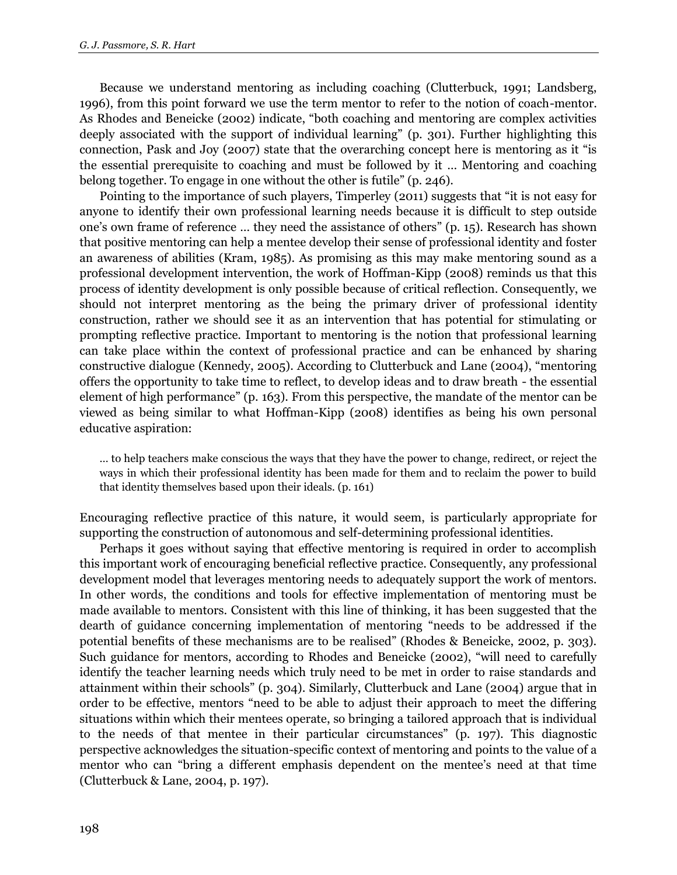Because we understand mentoring as including coaching (Clutterbuck, 1991; Landsberg, 1996), from this point forward we use the term mentor to refer to the notion of coach-mentor. As Rhodes and Beneicke (2002) indicate, "both coaching and mentoring are complex activities deeply associated with the support of individual learning" (p. 301). Further highlighting this connection, Pask and Joy (2007) state that the overarching concept here is mentoring as it "is the essential prerequisite to coaching and must be followed by it … Mentoring and coaching belong together. To engage in one without the other is futile" (p. 246).

Pointing to the importance of such players, Timperley (2011) suggests that "it is not easy for anyone to identify their own professional learning needs because it is difficult to step outside one's own frame of reference … they need the assistance of others" (p. 15). Research has shown that positive mentoring can help a mentee develop their sense of professional identity and foster an awareness of abilities (Kram, 1985). As promising as this may make mentoring sound as a professional development intervention, the work of Hoffman-Kipp (2008) reminds us that this process of identity development is only possible because of critical reflection. Consequently, we should not interpret mentoring as the being the primary driver of professional identity construction, rather we should see it as an intervention that has potential for stimulating or prompting reflective practice. Important to mentoring is the notion that professional learning can take place within the context of professional practice and can be enhanced by sharing constructive dialogue (Kennedy, 2005). According to Clutterbuck and Lane (2004), "mentoring offers the opportunity to take time to reflect, to develop ideas and to draw breath - the essential element of high performance" (p. 163). From this perspective, the mandate of the mentor can be viewed as being similar to what Hoffman-Kipp (2008) identifies as being his own personal educative aspiration:

… to help teachers make conscious the ways that they have the power to change, redirect, or reject the ways in which their professional identity has been made for them and to reclaim the power to build that identity themselves based upon their ideals. (p. 161)

Encouraging reflective practice of this nature, it would seem, is particularly appropriate for supporting the construction of autonomous and self-determining professional identities.

Perhaps it goes without saying that effective mentoring is required in order to accomplish this important work of encouraging beneficial reflective practice. Consequently, any professional development model that leverages mentoring needs to adequately support the work of mentors. In other words, the conditions and tools for effective implementation of mentoring must be made available to mentors. Consistent with this line of thinking, it has been suggested that the dearth of guidance concerning implementation of mentoring "needs to be addressed if the potential benefits of these mechanisms are to be realised" (Rhodes & Beneicke, 2002, p. 303). Such guidance for mentors, according to Rhodes and Beneicke (2002), "will need to carefully identify the teacher learning needs which truly need to be met in order to raise standards and attainment within their schools" (p. 304). Similarly, Clutterbuck and Lane (2004) argue that in order to be effective, mentors "need to be able to adjust their approach to meet the differing situations within which their mentees operate, so bringing a tailored approach that is individual to the needs of that mentee in their particular circumstances" (p. 197). This diagnostic perspective acknowledges the situation-specific context of mentoring and points to the value of a mentor who can "bring a different emphasis dependent on the mentee's need at that time (Clutterbuck & Lane, 2004, p. 197).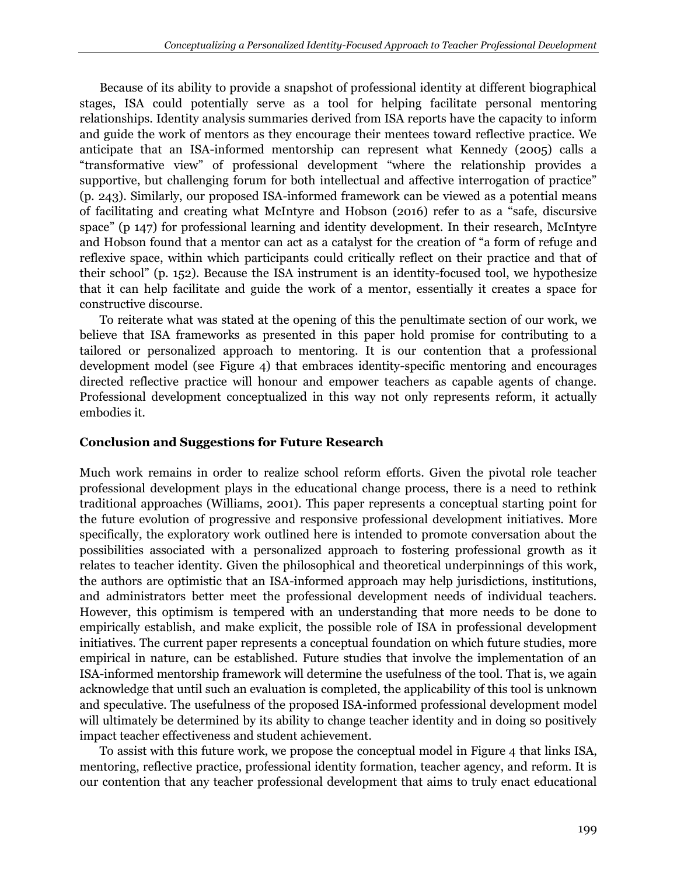Because of its ability to provide a snapshot of professional identity at different biographical stages, ISA could potentially serve as a tool for helping facilitate personal mentoring relationships. Identity analysis summaries derived from ISA reports have the capacity to inform and guide the work of mentors as they encourage their mentees toward reflective practice. We anticipate that an ISA-informed mentorship can represent what Kennedy (2005) calls a "transformative view" of professional development "where the relationship provides a supportive, but challenging forum for both intellectual and affective interrogation of practice" (p. 243). Similarly, our proposed ISA-informed framework can be viewed as a potential means of facilitating and creating what McIntyre and Hobson (2016) refer to as a "safe, discursive space" (p 147) for professional learning and identity development. In their research, McIntyre and Hobson found that a mentor can act as a catalyst for the creation of "a form of refuge and reflexive space, within which participants could critically reflect on their practice and that of their school" (p. 152). Because the ISA instrument is an identity-focused tool, we hypothesize that it can help facilitate and guide the work of a mentor, essentially it creates a space for constructive discourse.

To reiterate what was stated at the opening of this the penultimate section of our work, we believe that ISA frameworks as presented in this paper hold promise for contributing to a tailored or personalized approach to mentoring. It is our contention that a professional development model (see Figure 4) that embraces identity-specific mentoring and encourages directed reflective practice will honour and empower teachers as capable agents of change. Professional development conceptualized in this way not only represents reform, it actually embodies it.

## **Conclusion and Suggestions for Future Research**

Much work remains in order to realize school reform efforts. Given the pivotal role teacher professional development plays in the educational change process, there is a need to rethink traditional approaches (Williams, 2001). This paper represents a conceptual starting point for the future evolution of progressive and responsive professional development initiatives. More specifically, the exploratory work outlined here is intended to promote conversation about the possibilities associated with a personalized approach to fostering professional growth as it relates to teacher identity. Given the philosophical and theoretical underpinnings of this work, the authors are optimistic that an ISA-informed approach may help jurisdictions, institutions, and administrators better meet the professional development needs of individual teachers. However, this optimism is tempered with an understanding that more needs to be done to empirically establish, and make explicit, the possible role of ISA in professional development initiatives. The current paper represents a conceptual foundation on which future studies, more empirical in nature, can be established. Future studies that involve the implementation of an ISA-informed mentorship framework will determine the usefulness of the tool. That is, we again acknowledge that until such an evaluation is completed, the applicability of this tool is unknown and speculative. The usefulness of the proposed ISA-informed professional development model will ultimately be determined by its ability to change teacher identity and in doing so positively impact teacher effectiveness and student achievement.

To assist with this future work, we propose the conceptual model in Figure 4 that links ISA, mentoring, reflective practice, professional identity formation, teacher agency, and reform. It is our contention that any teacher professional development that aims to truly enact educational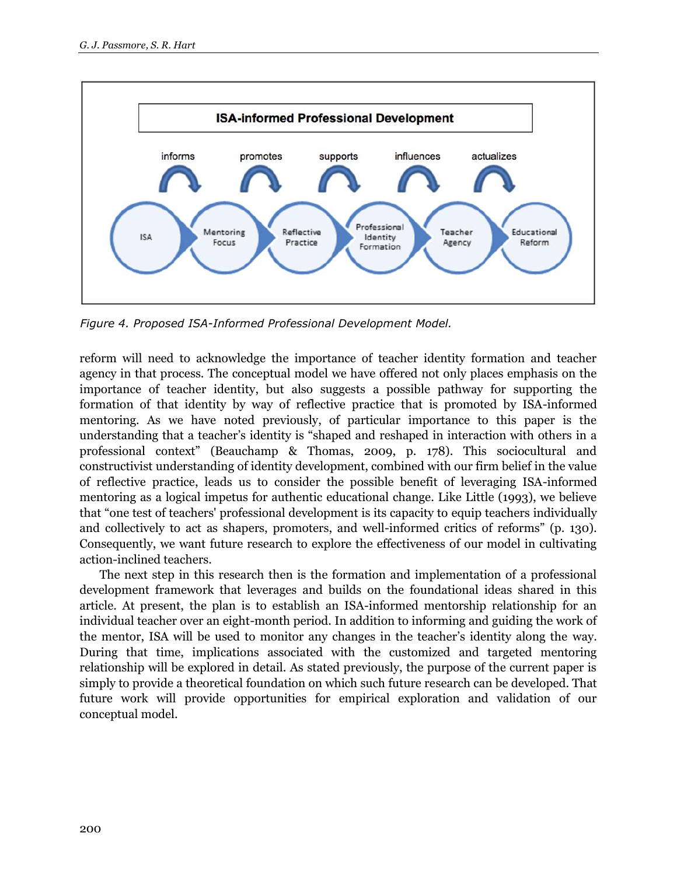

*Figure 4. Proposed ISA-Informed Professional Development Model.*

reform will need to acknowledge the importance of teacher identity formation and teacher agency in that process. The conceptual model we have offered not only places emphasis on the importance of teacher identity, but also suggests a possible pathway for supporting the formation of that identity by way of reflective practice that is promoted by ISA-informed mentoring. As we have noted previously, of particular importance to this paper is the understanding that a teacher's identity is "shaped and reshaped in interaction with others in a professional context" (Beauchamp & Thomas, 2009, p. 178). This sociocultural and constructivist understanding of identity development, combined with our firm belief in the value of reflective practice, leads us to consider the possible benefit of leveraging ISA-informed mentoring as a logical impetus for authentic educational change. Like Little (1993), we believe that "one test of teachers' professional development is its capacity to equip teachers individually and collectively to act as shapers, promoters, and well-informed critics of reforms" (p. 130). Consequently, we want future research to explore the effectiveness of our model in cultivating action-inclined teachers.

The next step in this research then is the formation and implementation of a professional development framework that leverages and builds on the foundational ideas shared in this article. At present, the plan is to establish an ISA-informed mentorship relationship for an individual teacher over an eight-month period. In addition to informing and guiding the work of the mentor, ISA will be used to monitor any changes in the teacher's identity along the way. During that time, implications associated with the customized and targeted mentoring relationship will be explored in detail. As stated previously, the purpose of the current paper is simply to provide a theoretical foundation on which such future research can be developed. That future work will provide opportunities for empirical exploration and validation of our conceptual model.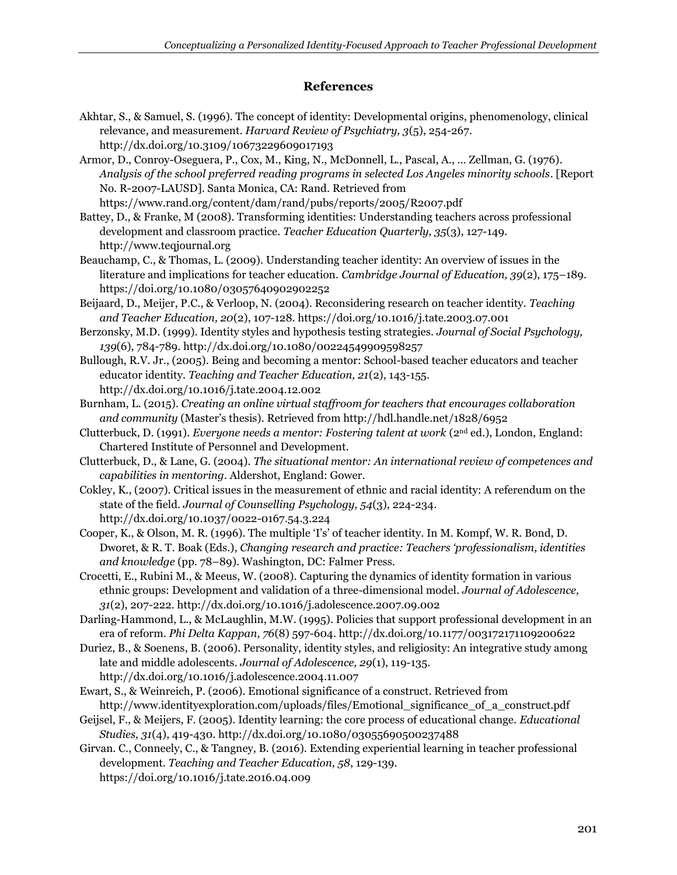# **References**

- Akhtar, S., & Samuel, S. (1996). The concept of identity: Developmental origins, phenomenology, clinical relevance, and measurement. *Harvard Review of Psychiatry, 3*(5), 254-267. http://dx.doi.org/10.3109/10673229609017193
- Armor, D., Conroy-Oseguera, P., Cox, M., King, N., McDonnell, L., Pascal, A., … Zellman, G. (1976). *Analysis of the school preferred reading programs in selected Los Angeles minority schools*. [Report No. R-2007-LAUSD]. Santa Monica, CA: Rand. Retrieved from <https://www.rand.org/content/dam/rand/pubs/reports/2005/R2007.pdf>
- Battey, D., & Franke, M (2008). Transforming identities: Understanding teachers across professional development and classroom practice. *Teacher Education Quarterly, 35*(3), 127-149. http://www.teqjournal.org
- Beauchamp, C., & Thomas, L. (2009). Understanding teacher identity: An overview of issues in the literature and implications for teacher education. *Cambridge Journal of Education, 39*(2), 175–189. https://doi.org/10.1080/03057640902902252
- Beijaard, D., Meijer, P.C., & Verloop, N. (2004). Reconsidering research on teacher identity. *Teaching and Teacher Education, 20*(2), 107-128. https://doi.org/10.1016/j.tate.2003.07.001
- Berzonsky, M.D. (1999). Identity styles and hypothesis testing strategies. *Journal of Social Psychology, 139*(6), 784-789. http://dx.doi.org/10.1080/00224549909598257
- Bullough, R.V. Jr., (2005). Being and becoming a mentor: School-based teacher educators and teacher educator identity. *Teaching and Teacher Education, 21*(2), 143-155. http://dx.doi.org/10.1016/j.tate.2004.12.002
- Burnham, L. (2015). *Creating an online virtual staffroom for teachers that encourages collaboration and community* (Master's thesis). Retrieved from http://hdl.handle.net/1828/6952
- Clutterbuck, D. (1991). *Everyone needs a mentor: Fostering talent at work* (2nd ed.), London, England: Chartered Institute of Personnel and Development.
- Clutterbuck, D., & Lane, G. (2004). *The situational mentor: An international review of competences and capabilities in mentoring*. Aldershot, England: Gower.
- Cokley, K., (2007). Critical issues in the measurement of ethnic and racial identity: A referendum on the state of the field. *Journal of Counselling Psychology, 54*(3), 224-234. http://dx.doi.org/10.1037/0022-0167.54.3.224
- Cooper, K., & Olson, M. R. (1996). The multiple 'I's' of teacher identity. In M. Kompf, W. R. Bond, D. Dworet, & R. T. Boak (Eds.), *Changing research and practice: Teachers 'professionalism, identities and knowledge* (pp. 78–89). Washington, DC: Falmer Press.
- Crocetti, E., Rubini M., & Meeus, W. (2008). Capturing the dynamics of identity formation in various ethnic groups: Development and validation of a three-dimensional model. *Journal of Adolescence, 31*(2), 207-222. http://dx.doi.org/10.1016/j.adolescence.2007.09.002
- Darling-Hammond, L., & McLaughlin, M.W. (1995). Policies that support professional development in an era of reform. *Phi Delta Kappan, 76*(8) 597-604. http://dx.doi.org/10.1177/003172171109200622
- Duriez, B., & Soenens, B. (2006). Personality, identity styles, and religiosity: An integrative study among late and middle adolescents. *Journal of Adolescence, 29*(1), 119-135. http://dx.doi.org/10.1016/j.adolescence.2004.11.007
- Ewart, S., & Weinreich, P. (2006). Emotional significance of a construct. Retrieved from http://www.identityexploration.com/uploads/files/Emotional\_significance\_of\_a\_construct.pdf
- Geijsel, F., & Meijers, F. (2005). Identity learning: the core process of educational change. *Educational Studies, 31*(4), 419-430. http://dx.doi.org/10.1080/03055690500237488
- Girvan. C., Conneely, C., & Tangney, B. (2016). Extending experiential learning in teacher professional development. *Teaching and Teacher Education, 58*, 129-139. https://doi.org/10.1016/j.tate.2016.04.009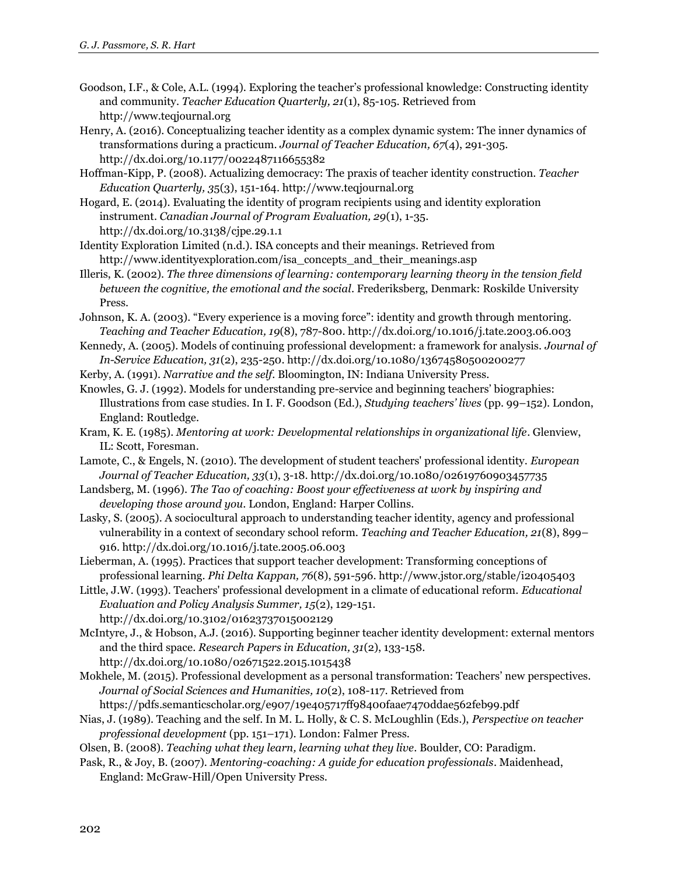Goodson, I.F., & Cole, A.L. (1994). Exploring the teacher's professional knowledge: Constructing identity and community. *Teacher Education Quarterly, 21*(1), 85-105. Retrieved from http://www.teqjournal.org

Henry, A. (2016). Conceptualizing teacher identity as a complex dynamic system: The inner dynamics of transformations during a practicum. *Journal of Teacher Education, 67*(4), 291-305. http://dx.doi.org/10.1177/0022487116655382

Hoffman-Kipp, P. (2008). Actualizing democracy: The praxis of teacher identity construction. *Teacher Education Quarterly, 3*5(3), 151-164. http://www.teqjournal.org

Hogard, E. (2014). Evaluating the identity of program recipients using and identity exploration instrument. *Canadian Journal of Program Evaluation, 29*(1), 1-35. http://dx.doi.org/10.3138/cjpe.29.1.1

Identity Exploration Limited (n.d.). ISA concepts and their meanings. Retrieved from http://www.identityexploration.com/isa\_concepts\_and\_their\_meanings.asp

Illeris, K. (2002). *The three dimensions of learning: contemporary learning theory in the tension field between the cognitive, the emotional and the social*. Frederiksberg, Denmark: Roskilde University Press.

Johnson, K. A. (2003). "Every experience is a moving force": identity and growth through mentoring. *Teaching and Teacher Education, 19*(8), 787-800. http://dx.doi.org/10.1016/j.tate.2003.06.003

Kennedy, A. (2005). Models of continuing professional development: a framework for analysis. *Journal of In-Service Education, 31*(2), 235-250. http://dx.doi.org/10.1080/13674580500200277

Kerby, A. (1991). *Narrative and the self*. Bloomington, IN: Indiana University Press.

Knowles, G. J. (1992). Models for understanding pre-service and beginning teachers' biographies: Illustrations from case studies. In I. F. Goodson (Ed.), *Studying teachers' lives* (pp. 99–152). London, England: Routledge.

Kram, K. E. (1985). *Mentoring at work: Developmental relationships in organizational life*. Glenview, IL: Scott, Foresman.

Lamote, C., & Engels, N. (2010). The development of student teachers' professional identity. *European Journal of Teacher Education, 33*(1), 3-18. http://dx.doi.org/10.1080/02619760903457735

Landsberg, M. (1996). *The Tao of coaching: Boost your effectiveness at work by inspiring and developing those around you*. London, England: Harper Collins.

Lasky, S. (2005). A sociocultural approach to understanding teacher identity, agency and professional vulnerability in a context of secondary school reform. *Teaching and Teacher Education, 21*(8), 899– 916. http://dx.doi.org/10.1016/j.tate.2005.06.003

Lieberman, A. (1995). Practices that support teacher development: Transforming conceptions of professional learning. *Phi Delta Kappan, 76*(8), 591-596. http://www.jstor.org/stable/i20405403

Little, J.W. (1993). Teachers' professional development in a climate of educational reform. *Educational Evaluation and Policy Analysis Summer, 15*(2), 129-151. http://dx.doi.org/10.3102/01623737015002129

McIntyre, J., & Hobson, A.J. (2016). Supporting beginner teacher identity development: external mentors and the third space. *Research Papers in Education, 31*(2), 133-158. http://dx.doi.org/10.1080/02671522.2015.1015438

Mokhele, M. (2015). Professional development as a personal transformation: Teachers' new perspectives. *Journal of Social Sciences and Humanities, 10*(2), 108-117. Retrieved from https://pdfs.semanticscholar.org/e907/19e405717ff98400faae7470ddae562feb99.pdf

Nias, J. (1989). Teaching and the self. In M. L. Holly, & C. S. McLoughlin (Eds.), *Perspective on teacher professional development* (pp. 151–171). London: Falmer Press.

Olsen, B. (2008). *Teaching what they learn, learning what they live*. Boulder, CO: Paradigm.

Pask, R., & Joy, B. (2007). *Mentoring-coaching: A guide for education professionals*. Maidenhead, England: McGraw-Hill/Open University Press.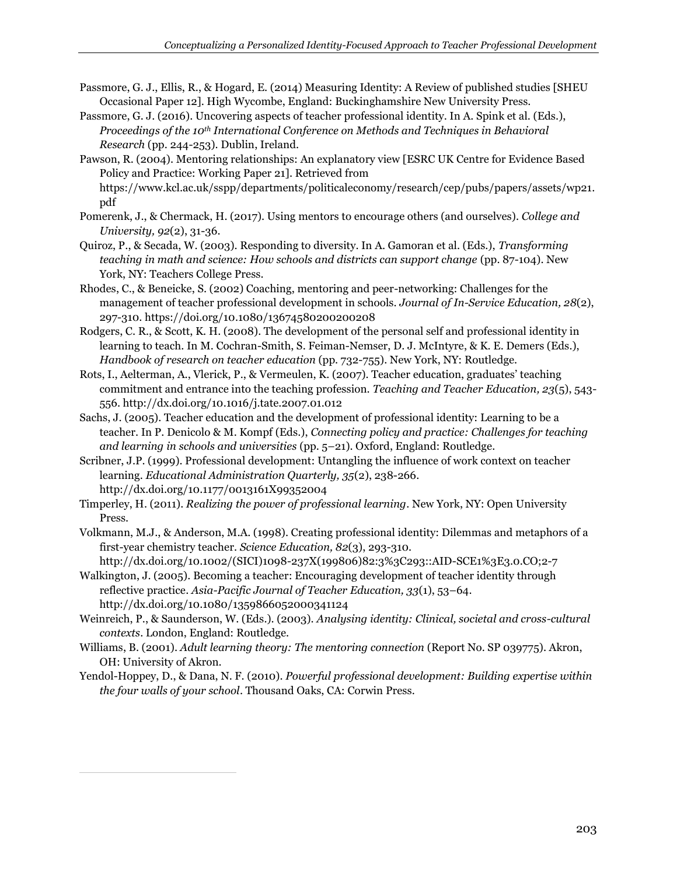- Passmore, G. J., Ellis, R., & Hogard, E. (2014) Measuring Identity: A Review of published studies [SHEU Occasional Paper 12]. High Wycombe, England: Buckinghamshire New University Press.
- Passmore, G. J. (2016). Uncovering aspects of teacher professional identity. In A. Spink et al. (Eds.), *Proceedings of the 10th International Conference on Methods and Techniques in Behavioral Research* (pp. 244-253). Dublin, Ireland.
- Pawson, R. (2004). Mentoring relationships: An explanatory view [ESRC UK Centre for Evidence Based Policy and Practice: Working Paper 21]. Retrieved from https://www.kcl.ac.uk/sspp/departments/politicaleconomy/research/cep/pubs/papers/assets/wp21. pdf
- Pomerenk, J., & Chermack, H. (2017). Using mentors to encourage others (and ourselves). *College and University, 92*(2), 31-36.
- Quiroz, P., & Secada, W. (2003). Responding to diversity. In A. Gamoran et al. (Eds.), *Transforming teaching in math and science: How schools and districts can support change* (pp. 87-104). New York, NY: Teachers College Press.
- Rhodes, C., & Beneicke, S. (2002) Coaching, mentoring and peer-networking: Challenges for the management of teacher professional development in schools. *Journal of In-Service Education, 28*(2), 297-310. https://doi.org/10.1080/13674580200200208
- Rodgers, C. R., & Scott, K. H. (2008). The development of the personal self and professional identity in learning to teach. In M. Cochran-Smith, S. Feiman-Nemser, D. J. McIntyre, & K. E. Demers (Eds.), *Handbook of research on teacher education* (pp. 732-755). New York, NY: Routledge.
- Rots, I., Aelterman, A., Vlerick, P., & Vermeulen, K. (2007). Teacher education, graduates' teaching commitment and entrance into the teaching profession. *Teaching and Teacher Education, 23*(5), 543- 556. http://dx.doi.org/10.1016/j.tate.2007.01.012
- Sachs, J. (2005). Teacher education and the development of professional identity: Learning to be a teacher. In P. Denicolo & M. Kompf (Eds.), *Connecting policy and practice: Challenges for teaching and learning in schools and universities* (pp. 5–21). Oxford, England: Routledge.
- Scribner, J.P. (1999). Professional development: Untangling the influence of work context on teacher learning. *Educational Administration Quarterly, 35*(2), 238-266. http://dx.doi.org/10.1177/0013161X99352004
- Timperley, H. (2011). *Realizing the power of professional learning*. New York, NY: Open University Press.
- Volkmann, M.J., & Anderson, M.A. (1998). Creating professional identity: Dilemmas and metaphors of a first-year chemistry teacher. *Science Education, 82*(3), 293-310.
- http://dx.doi.org/10.1002/(SICI)1098-237X(199806)82:3%3C293::AID-SCE1%3E3.0.CO;2-7 Walkington, J. (2005). Becoming a teacher: Encouraging development of teacher identity through reflective practice. *Asia-Pacific Journal of Teacher Education, 33*(1), 53–64. http://dx.doi.org/10.1080/1359866052000341124
- Weinreich, P., & Saunderson, W. (Eds.). (2003). *Analysing identity: Clinical, societal and cross-cultural contexts*. London, England: Routledge.
- Williams, B. (2001). *Adult learning theory: The mentoring connection* (Report No. SP 039775). Akron, OH: University of Akron.
- Yendol-Hoppey, D., & Dana, N. F. (2010). *Powerful professional development: Building expertise within the four walls of your school*. Thousand Oaks, CA: Corwin Press.